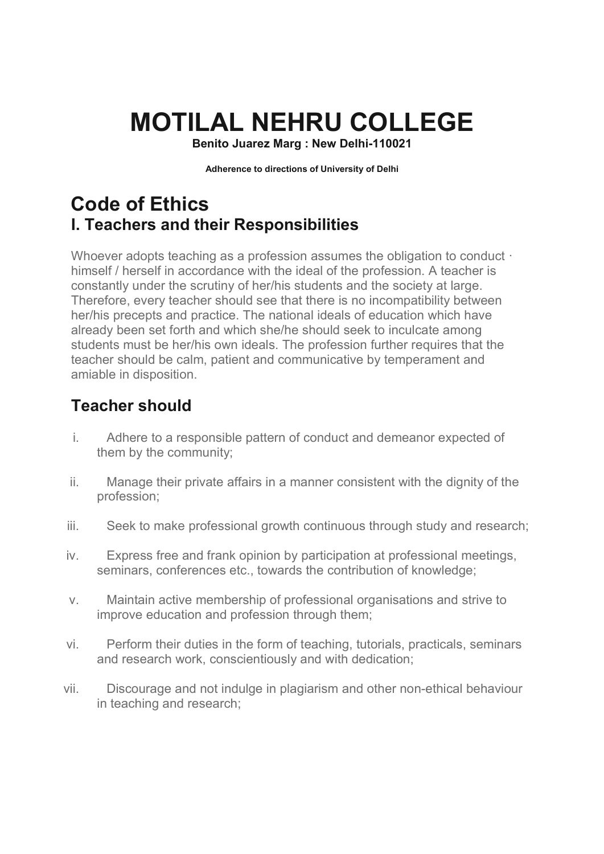# **MOTILAL NEHRU COLLEGE**

**Benito Juarez Marg : New Delhi-110021** 

**Adherence to directions of University of Delhi** 

# **Code of Ethics I. Teachers and their Responsibilities**

Whoever adopts teaching as a profession assumes the obligation to conduct  $\cdot$ himself / herself in accordance with the ideal of the profession. A teacher is constantly under the scrutiny of her/his students and the society at large. Therefore, every teacher should see that there is no incompatibility between her/his precepts and practice. The national ideals of education which have already been set forth and which she/he should seek to inculcate among students must be her/his own ideals. The profession further requires that the teacher should be calm, patient and communicative by temperament and amiable in disposition.

# **Teacher should**

- i. Adhere to a responsible pattern of conduct and demeanor expected of them by the community;
- ii. Manage their private affairs in a manner consistent with the dignity of the profession;
- iii. Seek to make professional growth continuous through study and research;
- iv. Express free and frank opinion by participation at professional meetings, seminars, conferences etc., towards the contribution of knowledge;
- v. Maintain active membership of professional organisations and strive to improve education and profession through them;
- vi. Perform their duties in the form of teaching, tutorials, practicals, seminars and research work, conscientiously and with dedication;
- vii. Discourage and not indulge in plagiarism and other non-ethical behaviour in teaching and research;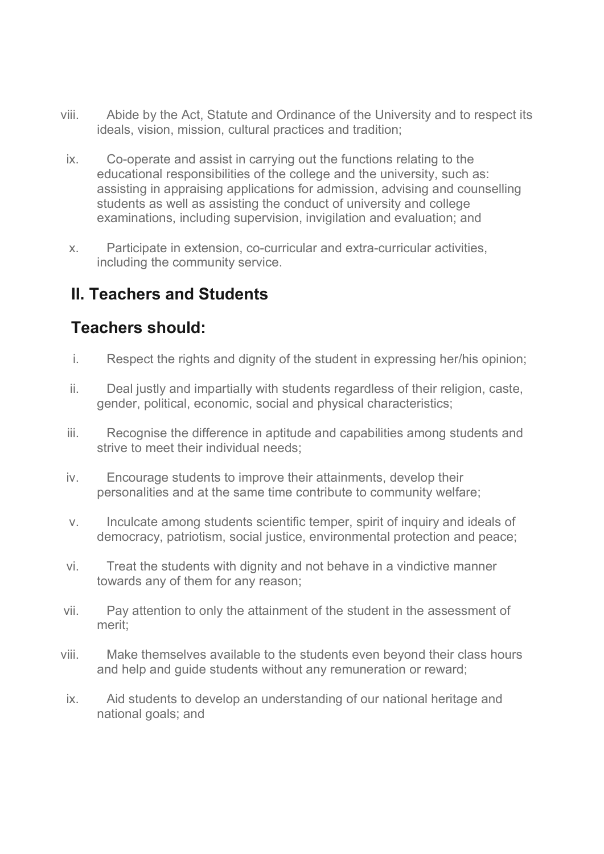- viii. Abide by the Act, Statute and Ordinance of the University and to respect its ideals, vision, mission, cultural practices and tradition;
- ix. Co-operate and assist in carrying out the functions relating to the educational responsibilities of the college and the university, such as: assisting in appraising applications for admission, advising and counselling students as well as assisting the conduct of university and college examinations, including supervision, invigilation and evaluation; and
- x. Participate in extension, co-curricular and extra-curricular activities, including the community service.

# **II. Teachers and Students**

# **Teachers should:**

- i. Respect the rights and dignity of the student in expressing her/his opinion;
- ii. Deal justly and impartially with students regardless of their religion, caste, gender, political, economic, social and physical characteristics;
- iii. Recognise the difference in aptitude and capabilities among students and strive to meet their individual needs;
- iv. Encourage students to improve their attainments, develop their personalities and at the same time contribute to community welfare;
- v. Inculcate among students scientific temper, spirit of inquiry and ideals of democracy, patriotism, social justice, environmental protection and peace;
- vi. Treat the students with dignity and not behave in a vindictive manner towards any of them for any reason;
- vii. Pay attention to only the attainment of the student in the assessment of merit;
- viii. Make themselves available to the students even beyond their class hours and help and guide students without any remuneration or reward;
- ix. Aid students to develop an understanding of our national heritage and national goals; and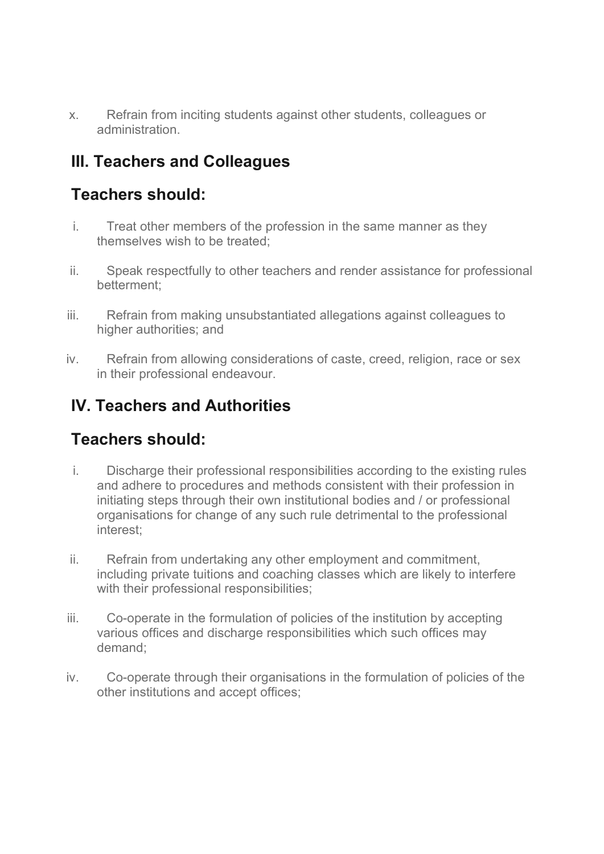x. Refrain from inciting students against other students, colleagues or administration.

# **III. Teachers and Colleagues**

### **Teachers should:**

- i. Treat other members of the profession in the same manner as they themselves wish to be treated;
- ii. Speak respectfully to other teachers and render assistance for professional betterment;
- iii. Refrain from making unsubstantiated allegations against colleagues to higher authorities; and
- iv. Refrain from allowing considerations of caste, creed, religion, race or sex in their professional endeavour.

# **IV. Teachers and Authorities**

#### **Teachers should:**

- i. Discharge their professional responsibilities according to the existing rules and adhere to procedures and methods consistent with their profession in initiating steps through their own institutional bodies and / or professional organisations for change of any such rule detrimental to the professional interest;
- ii. Refrain from undertaking any other employment and commitment, including private tuitions and coaching classes which are likely to interfere with their professional responsibilities;
- iii. Co-operate in the formulation of policies of the institution by accepting various offices and discharge responsibilities which such offices may demand;
- iv. Co-operate through their organisations in the formulation of policies of the other institutions and accept offices;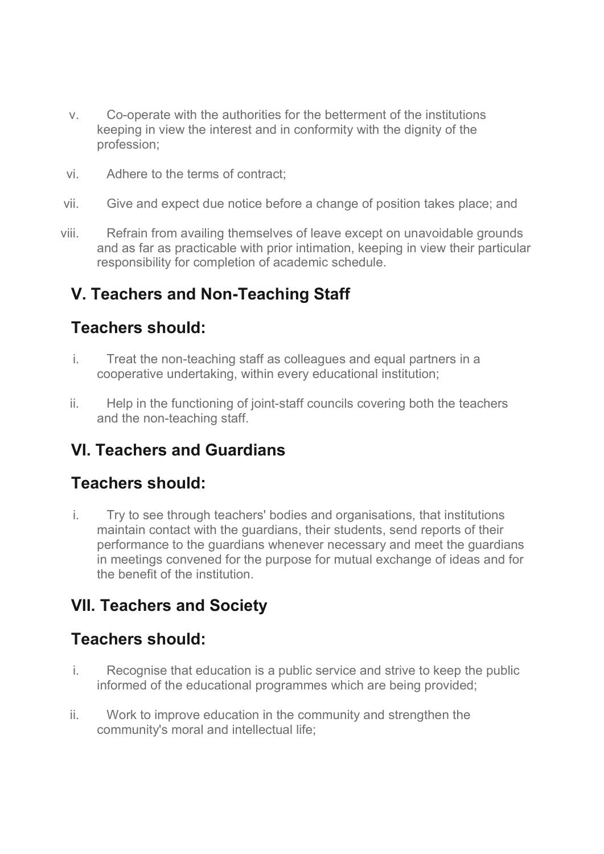- v. Co-operate with the authorities for the betterment of the institutions keeping in view the interest and in conformity with the dignity of the profession;
- vi. Adhere to the terms of contract;
- vii. Give and expect due notice before a change of position takes place; and
- viii. Refrain from availing themselves of leave except on unavoidable grounds and as far as practicable with prior intimation, keeping in view their particular responsibility for completion of academic schedule.

# **V. Teachers and Non-Teaching Staff**

#### **Teachers should:**

- i. Treat the non-teaching staff as colleagues and equal partners in a cooperative undertaking, within every educational institution;
- ii. Help in the functioning of joint-staff councils covering both the teachers and the non-teaching staff.

## **VI. Teachers and Guardians**

#### **Teachers should:**

i. Try to see through teachers' bodies and organisations, that institutions maintain contact with the guardians, their students, send reports of their performance to the guardians whenever necessary and meet the guardians in meetings convened for the purpose for mutual exchange of ideas and for the benefit of the institution.

## **VII. Teachers and Society**

#### **Teachers should:**

- i. Recognise that education is a public service and strive to keep the public informed of the educational programmes which are being provided;
- ii. Work to improve education in the community and strengthen the community's moral and intellectual life;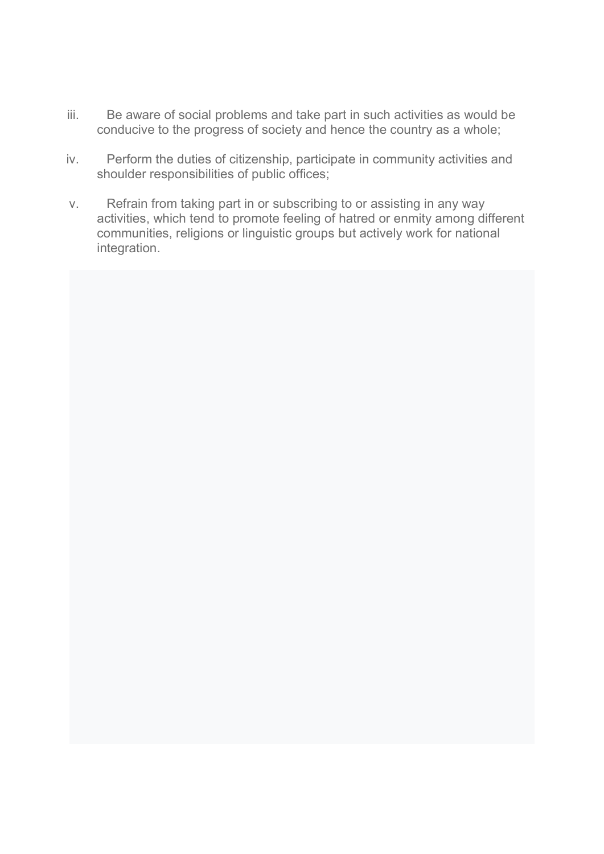- iii. Be aware of social problems and take part in such activities as would be conducive to the progress of society and hence the country as a whole;
- iv. Perform the duties of citizenship, participate in community activities and shoulder responsibilities of public offices;
- v. Refrain from taking part in or subscribing to or assisting in any way activities, which tend to promote feeling of hatred or enmity among different communities, religions or linguistic groups but actively work for national integration.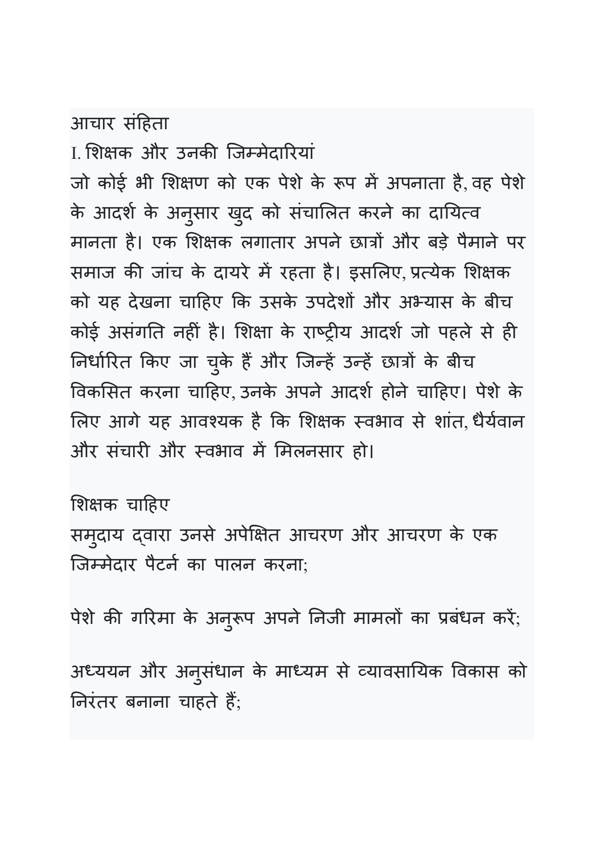# आचार संहता

<u>। शिक्षक और उनकी जिम्मेदारियां</u>

जो कोई भी शिक्षण को एक पेशे के रूप में अपनाता है, वह पेशे के आदर्श के अनुसार खुद को संचालित करने का दायित्व मानता है। एक शिक्षक लगातार अपने छात्रों और बड़े पैमाने पर समाज की जांच के दायरे में रहता है। इसलिए प्रत्येक शिक्षक को यह देखना चाहए 6क उसके उपदेश1 और अ7यास के बीच कोई असंगति नहीं है। शिक्षा के राष्ट्रीय आदर्श जो पहले से ही निर्धारित किए जा चुके हैं और जिन्हें उन्हें छात्रों के बीच >वकसत करना चाहए, उनके अपने आदश' होने चाहए। पेशे के लिए आगे यह आवश्यक है कि शिक्षक स्वभाव से शांत, धैर्यवान और संचारी और स्वभाव में मिलनसार हो।

शिक्षक चाहिए

समुदाय दवारा उनसे अपेक्षित आचरण और आचरण के एक िजमेदार पैटन' का पालन करना;

पेशे की गरिमा के अनुरूप अपने निजी मामलो का प्रबधन करे;

अध्ययन और अनुसंधान के माध्यम से व्यावसायिक विकास को निरतर बनाना चाहते हैं;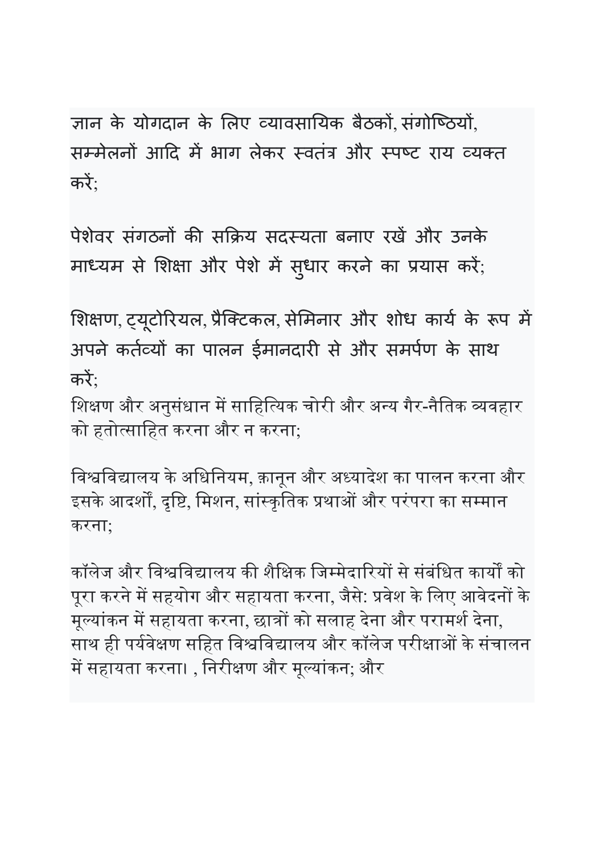ज्ञान के योगदान के लिए व्यावसायिक बैठकों संगोष्ठियों, सम्मेलनों आदि में भाग लेकर स्वतंत्र और स्पष्ट राय व्यक्त करे;

पेशेवर संगठनों की सक्रिय सदस्यता बनाए रखें और उनके माध्यम से शिक्षा और पेशे में सुधार करने का प्रयास करे;

शिक्षण, ट्यूटोरियल, प्रैक्टिकल, सेमिनार और शोध कार्य के रूप में अपने कर्तव्यों का पालन ईमानदारी से और समर्पण के साथ करे $;$ 

शिक्षण और अनुसंधान में साहित्यिक चोरी और अन्य गैर-नैतिक व्यवहार को हतो᭜सािहत करना और न करना;

विश्वविद्यालय के अधिनियम, क़ानून और अध्यादेश का पालन करना और इसके आदर्शों, दृष्टि, मिशन, सांस्कृतिक प्रथाओं और परंपरा का सम्मान करना;

कॉलेज और विश्वविद्यालय की शैक्षिक जिम्मेदारियों से संबंधित कार्यों को पूरा करने में सहयोग और सहायता करना, जैसे: प्रवेश के लिए आवेदनों के मूल्यांकन में सहायता करना, छात्रों को सलाह देना और परामर्श देना, साथ ही पर्यवेक्षण सहित विश्वविद्यालय और कॉलेज परीक्षाओं के संचालन में सहायता करना। , निरीक्षण और मूल्यांकन; और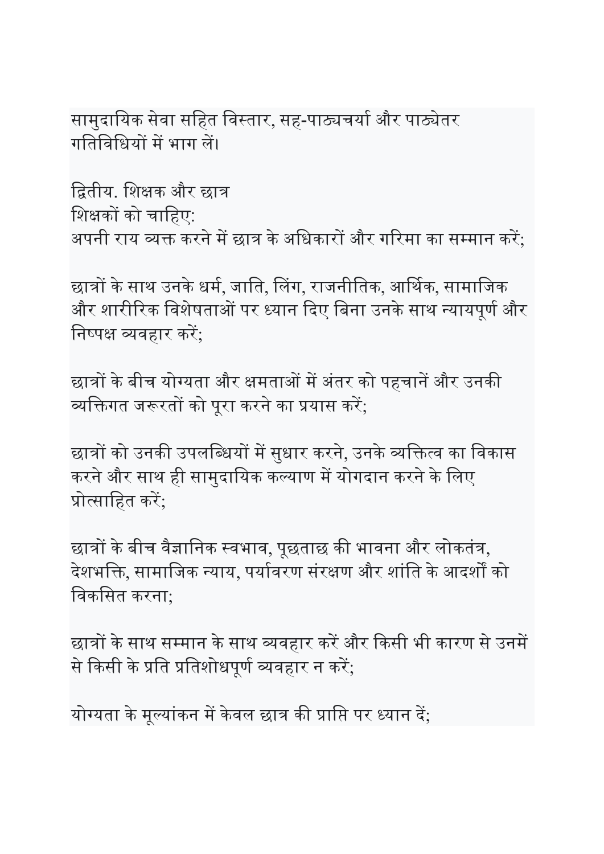सामुदायिक सेवा सहित विस्तार, सह-पाठ्यचर्या और पाठ्येतर गतिविधियों में भाग लें।

द्वितीय. शिक्षक और छात्र शिक्षकों को चाहिए: अपनी राय व्यक्त करने में छात्र के अधिकारों और गरिमा का सम्मान करें:

छात्रों के साथ उनके धर्म, जाति, लिंग, राजनीतिक, आर्थिक, सामाजिक और शारीरिक विशेषताओं पर ध्यान दिए बिना उनके साथ न्यायपूर्ण और निष्पक्ष व्यवहार करें;

छात्रों के बीच योग्यता और क्षमताओं में अंतर को पहचानें और उनकी व्यक्तिगत जरूरतों को पूरा करने का प्रयास करें;

छात्रों को उनकी उपलब्धियों में सुधार करने, उनके व्यक्तित्व का विकास करने और साथ ही सामुदायिक कल्याण में योगदान करने के लिए प्रोत्साहित करें:

छात्रों के बीच वैज्ञानिक स्वभाव, पूछताछ की भावना और लोकतंत्र, देशभक्ति, सामाजिक न्याय, पर्यावरण संरक्षण और शांति के आदर्शों को िवकिसत करना;

छात्रों के साथ सम्मान के साथ व्यवहार करें और किसी भी कारण से उनमें से किसी के प्रति प्रतिशोधपूर्ण व्यवहार न करें:

योग्यता के मूल्यांकन में केवल छात्र की प्राप्ति पर ध्यान दें;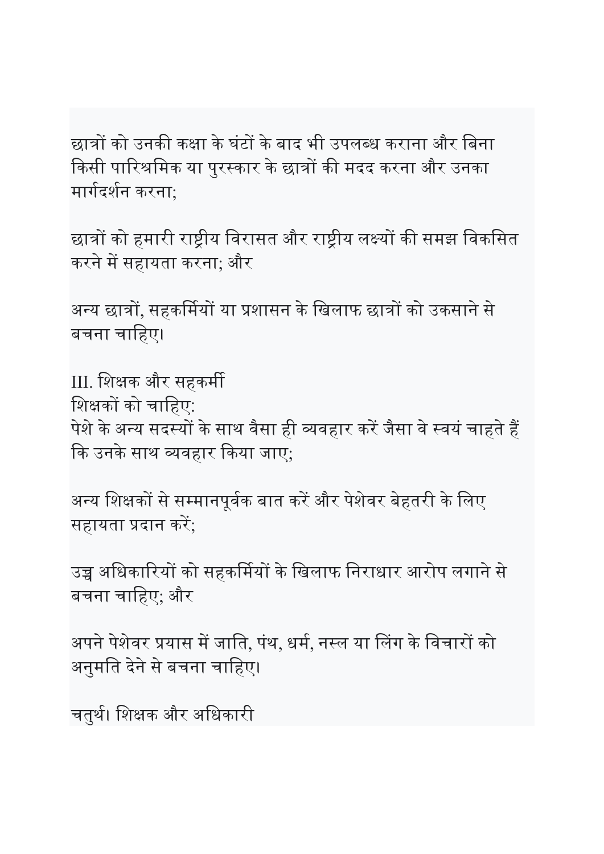छात्रों को उनकी कक्षा के घंटों के बाद भी उपलब्ध कराना और बिना किसी पारिश्रमिक या पुरस्कार के छात्रों की मदद करना और उनका मार्गदर्शन करना:

छात्रों को हमारी राष्ट्रीय विरासत और राष्ट्रीय लक्ष्यों की समझ विकसित करने में सहायता करना; और

अन्य छात्रों, सहकर्मियों या प्रशासन के खिलाफ छात्रों को उकसाने से बचना चाहिए।

III. शिक्षक और सहकर्मी शिक्षकों को चाहिए: पेशे के अन्य सदस्यों के साथ वैसा ही व्यवहार करें जैसा वे स्वयं चाहते हैं कि उनके साथ व्यवहार किया जाए;

अन्य शिक्षकों से सम्मानपूर्वक बात करें और पेशेवर बेहतरी के लिए सहायता प्रदान करें;

उच्च अधिकारियों को सहकर्मियों के खिलाफ निराधार आरोप लगाने से बचना चािहए; और

अपने पेशेवर प्रयास में जाति, पंथ, धर्म, नस्ल या लिंग के विचारों को अनुमति देने से बचना चाहिए।

चतुर्थ। शिक्षक और अधिकारी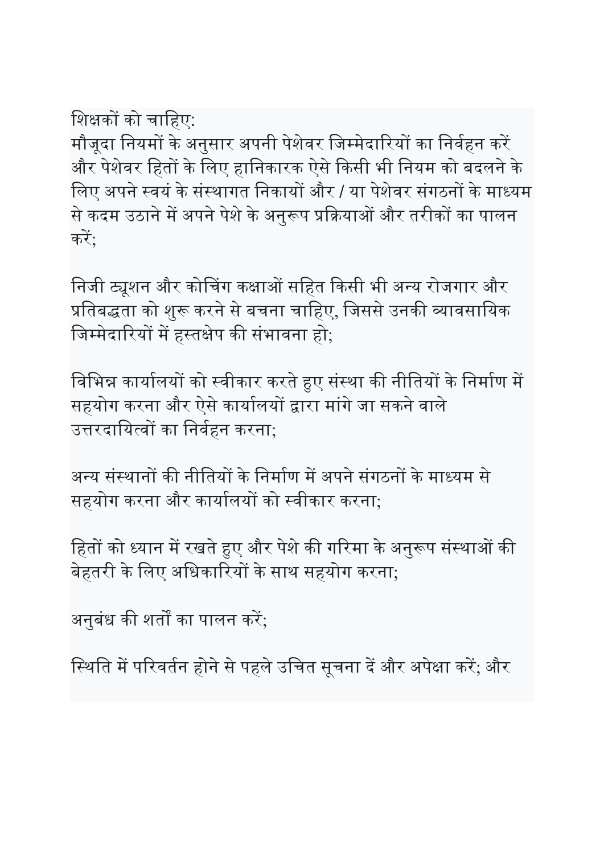शिक्षकों को चाहिए:

मौजूदा नियमों के अनुसार अपनी पेशेवर जिम्मेदारियों का निर्वहन करें और पेशेवर हितों के लिए हानिकारक ऐसे किसी भी नियम को बदलने के लिए अपने स्वयं के संस्थागत निकायों और / या पेशेवर संगठनों के माध्यम से कदम उठाने में अपने पेशे के अनुरूप प्रक्रियाओं और तरीकों का पालन करें:

निजी ट्यूशन और कोचिंग कक्षाओं सहित किसी भी अन्य रोजगार और प्रतिबद्धता को शुरू करने से बचना चाहिए, जिससे उनकी व्यावसायिक जिम्मेदारियों में हस्तक्षेप की संभावना हो;

विभिन्न कार्यालयों को स्वीकार करते हुए संस्था की नीतियों के निर्माण में सहयोग करना और ऐसे कार्यालयों द्वारा मांगे जा सकने वाले उत्तरदायित्वों का निर्वहन करना;

अन्य संस्थानों की नीतियों के निर्माण में अपने संगठनों के माध्यम से सहयोग करना और कार्यालयों को स्वीकार करना;

हितों को ध्यान में रखते हुए और पेशे की गरिमा के अनुरूप संस्थाओं की बेहतरी के लिए अधिकारियों के साथ सहयोग करना:

अनुबंध की शर्तों का पालन करें;

स्थिति में परिवर्तन होने से पहले उचित सूचना दें और अपेक्षा करें; और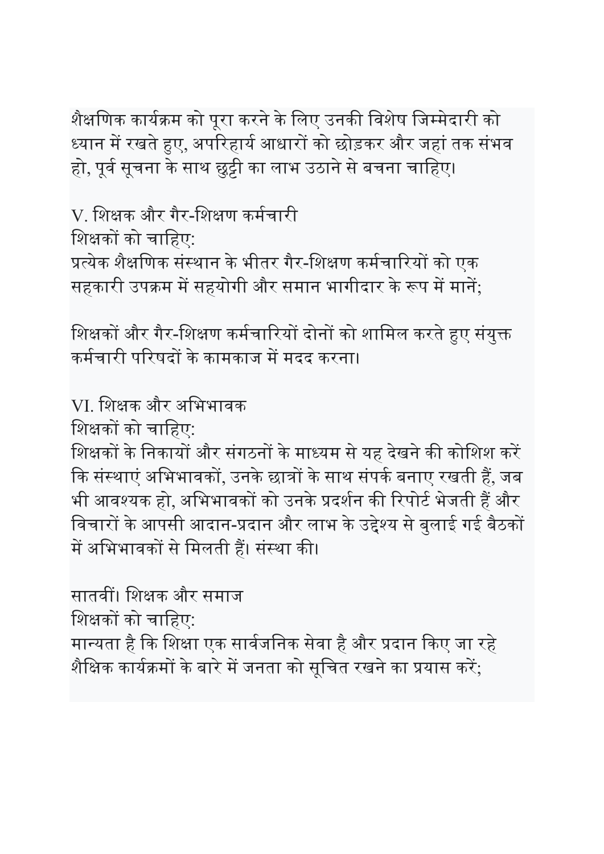शैक्षणिक कार्यक्रम को पूरा करने के लिए उनकी विशेष जिम्मेदारी को ध्यान में रखते हुए, अपरिहार्य आधारों को छोड़कर और जहां तक संभव हो, पूर्व सूचना के साथ छुट्टी का लाभ उठाने से बचना चाहिए।

V. शिक्षक और गैर-शिक्षण कर्मचारी शिक्षकों को चाहिए: प्रत्येक शैक्षणिक संस्थान के भीतर गैर-शिक्षण कर्मचारियों को एक

सहकारी उपक्रम में सहयोगी और समान भागीदार के रूप में मानें;

शिक्षकों और गैर-शिक्षण कर्मचारियों दोनों को शामिल करते हुए संयुक्त कर्मचारी परिषदों के कामकाज में मदद करना।

VI. शिक्षक और अभिभावक

शिक्षकों को चाहिए:

शिक्षकों के निकायों और संगठनों के माध्यम से यह देखने की कोशिश करें कि संस्थाएं अभिभावकों, उनके छात्रों के साथ संपर्क बनाए रखती हैं, जब भी आवश्यक हो, अभिभावकों को उनके प्रदर्शन की रिपोर्ट भेजती हैं और विचारों के आपसी आदान-प्रदान और लाभ के उद्देश्य से बुलाई गई बैठकों में अभिभावकों से मिलती हैं। संस्था की।

सातवीं। शिक्षक और समाज शिक्षकों को चाहिए: मान्यता है कि शिक्षा एक सार्वजनिक सेवा है और प्रदान किए जा रहे शैक्षिक कार्यक्रमों के बारे में जनता को सूचित रखने का प्रयास करें;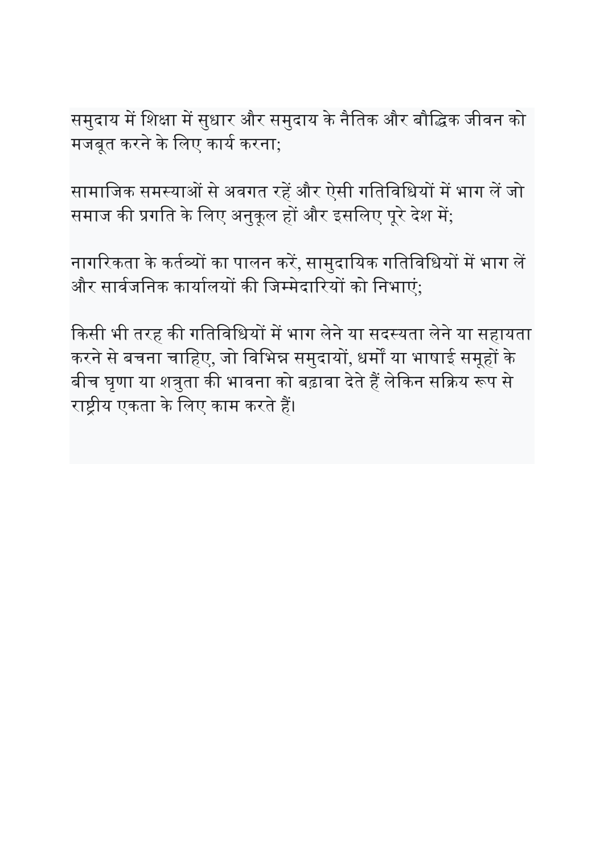समुदाय में शिक्षा में सुधार और समुदाय के नैतिक और बौद्धिक जीवन को मजबुत करने के लिए कार्य करना;

सामाजिक समस्याओं से अवगत रहें और ऐसी गतिविधियों में भाग लें जो समाज की प्रगति के लिए अनुकूल हों और इसलिए पूरे देश में;

नागरिकता के कर्तव्यों का पालन करें, सामुदायिक गतिविधियों में भाग लें और सार्वजनिक कार्यालयों की जिम्मेदारियों को निभाएं:

किसी भी तरह की गतिविधियों में भाग लेने या सदस्यता लेने या सहायता करने से बचना चाहिए, जो विभिन्न समुदायों, धर्मों या भाषाई समूहों के बीच घृणा या शत्रुता की भावना को बढ़ावा देते हैं लेकिन सक्रिय रूप से राष्ट्रीय एकता के लिए काम करते हैं।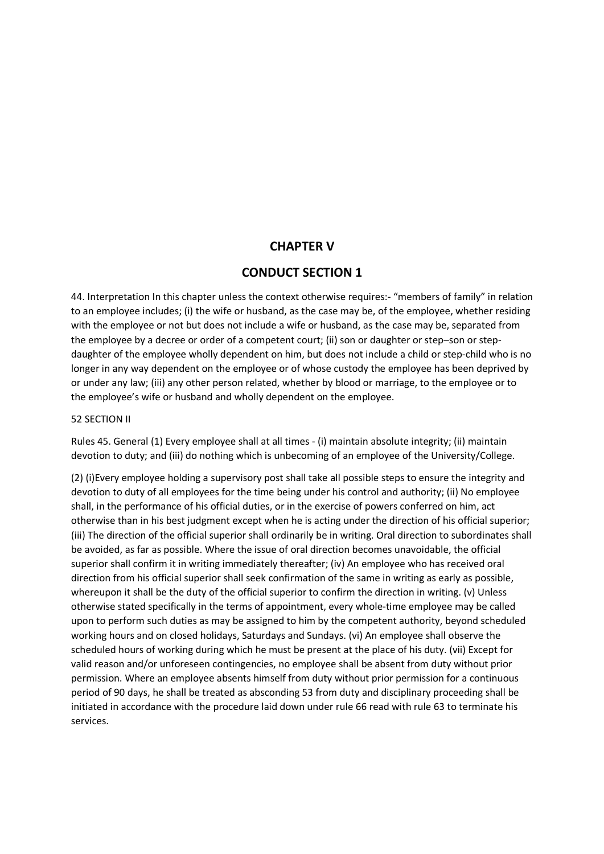#### **CHAPTER V**

#### **CONDUCT SECTION 1**

44. Interpretation In this chapter unless the context otherwise requires:- "members of family" in relation to an employee includes; (i) the wife or husband, as the case may be, of the employee, whether residing with the employee or not but does not include a wife or husband, as the case may be, separated from the employee by a decree or order of a competent court; (ii) son or daughter or step–son or stepdaughter of the employee wholly dependent on him, but does not include a child or step-child who is no longer in any way dependent on the employee or of whose custody the employee has been deprived by or under any law; (iii) any other person related, whether by blood or marriage, to the employee or to the employee's wife or husband and wholly dependent on the employee.

#### 52 SECTION II

Rules 45. General (1) Every employee shall at all times - (i) maintain absolute integrity; (ii) maintain devotion to duty; and (iii) do nothing which is unbecoming of an employee of the University/College.

(2) (i)Every employee holding a supervisory post shall take all possible steps to ensure the integrity and devotion to duty of all employees for the time being under his control and authority; (ii) No employee shall, in the performance of his official duties, or in the exercise of powers conferred on him, act otherwise than in his best judgment except when he is acting under the direction of his official superior; (iii) The direction of the official superior shall ordinarily be in writing. Oral direction to subordinates shall be avoided, as far as possible. Where the issue of oral direction becomes unavoidable, the official superior shall confirm it in writing immediately thereafter; (iv) An employee who has received oral direction from his official superior shall seek confirmation of the same in writing as early as possible, whereupon it shall be the duty of the official superior to confirm the direction in writing. (v) Unless otherwise stated specifically in the terms of appointment, every whole-time employee may be called upon to perform such duties as may be assigned to him by the competent authority, beyond scheduled working hours and on closed holidays, Saturdays and Sundays. (vi) An employee shall observe the scheduled hours of working during which he must be present at the place of his duty. (vii) Except for valid reason and/or unforeseen contingencies, no employee shall be absent from duty without prior permission. Where an employee absents himself from duty without prior permission for a continuous period of 90 days, he shall be treated as absconding 53 from duty and disciplinary proceeding shall be initiated in accordance with the procedure laid down under rule 66 read with rule 63 to terminate his services.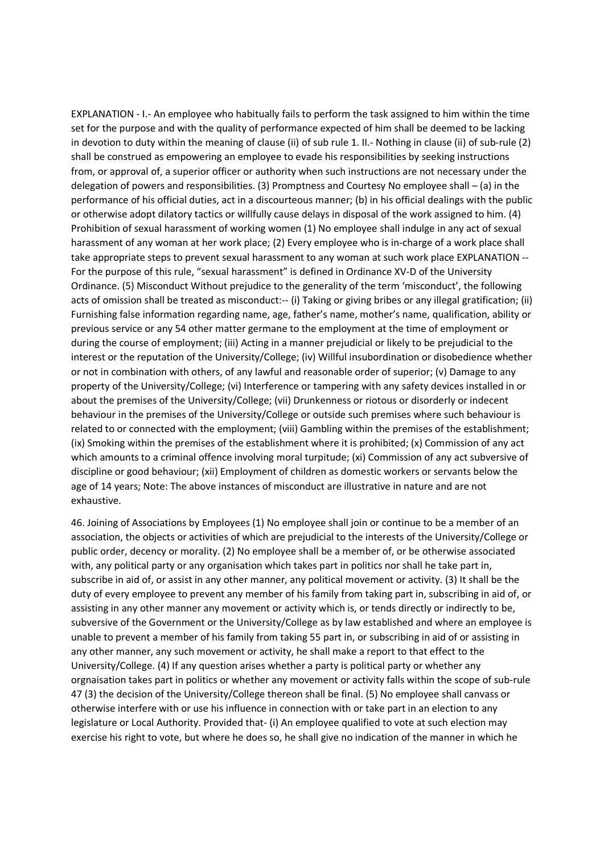EXPLANATION - I.- An employee who habitually fails to perform the task assigned to him within the time set for the purpose and with the quality of performance expected of him shall be deemed to be lacking in devotion to duty within the meaning of clause (ii) of sub rule 1. II.- Nothing in clause (ii) of sub-rule (2) shall be construed as empowering an employee to evade his responsibilities by seeking instructions from, or approval of, a superior officer or authority when such instructions are not necessary under the delegation of powers and responsibilities. (3) Promptness and Courtesy No employee shall – (a) in the performance of his official duties, act in a discourteous manner; (b) in his official dealings with the public or otherwise adopt dilatory tactics or willfully cause delays in disposal of the work assigned to him. (4) Prohibition of sexual harassment of working women (1) No employee shall indulge in any act of sexual harassment of any woman at her work place; (2) Every employee who is in-charge of a work place shall take appropriate steps to prevent sexual harassment to any woman at such work place EXPLANATION -- For the purpose of this rule, "sexual harassment" is defined in Ordinance XV-D of the University Ordinance. (5) Misconduct Without prejudice to the generality of the term 'misconduct', the following acts of omission shall be treated as misconduct:-- (i) Taking or giving bribes or any illegal gratification; (ii) Furnishing false information regarding name, age, father's name, mother's name, qualification, ability or previous service or any 54 other matter germane to the employment at the time of employment or during the course of employment; (iii) Acting in a manner prejudicial or likely to be prejudicial to the interest or the reputation of the University/College; (iv) Willful insubordination or disobedience whether or not in combination with others, of any lawful and reasonable order of superior; (v) Damage to any property of the University/College; (vi) Interference or tampering with any safety devices installed in or about the premises of the University/College; (vii) Drunkenness or riotous or disorderly or indecent behaviour in the premises of the University/College or outside such premises where such behaviour is related to or connected with the employment; (viii) Gambling within the premises of the establishment; (ix) Smoking within the premises of the establishment where it is prohibited; (x) Commission of any act which amounts to a criminal offence involving moral turpitude; (xi) Commission of any act subversive of discipline or good behaviour; (xii) Employment of children as domestic workers or servants below the age of 14 years; Note: The above instances of misconduct are illustrative in nature and are not exhaustive.

46. Joining of Associations by Employees (1) No employee shall join or continue to be a member of an association, the objects or activities of which are prejudicial to the interests of the University/College or public order, decency or morality. (2) No employee shall be a member of, or be otherwise associated with, any political party or any organisation which takes part in politics nor shall he take part in, subscribe in aid of, or assist in any other manner, any political movement or activity. (3) It shall be the duty of every employee to prevent any member of his family from taking part in, subscribing in aid of, or assisting in any other manner any movement or activity which is, or tends directly or indirectly to be, subversive of the Government or the University/College as by law established and where an employee is unable to prevent a member of his family from taking 55 part in, or subscribing in aid of or assisting in any other manner, any such movement or activity, he shall make a report to that effect to the University/College. (4) If any question arises whether a party is political party or whether any orgnaisation takes part in politics or whether any movement or activity falls within the scope of sub-rule 47 (3) the decision of the University/College thereon shall be final. (5) No employee shall canvass or otherwise interfere with or use his influence in connection with or take part in an election to any legislature or Local Authority. Provided that- (i) An employee qualified to vote at such election may exercise his right to vote, but where he does so, he shall give no indication of the manner in which he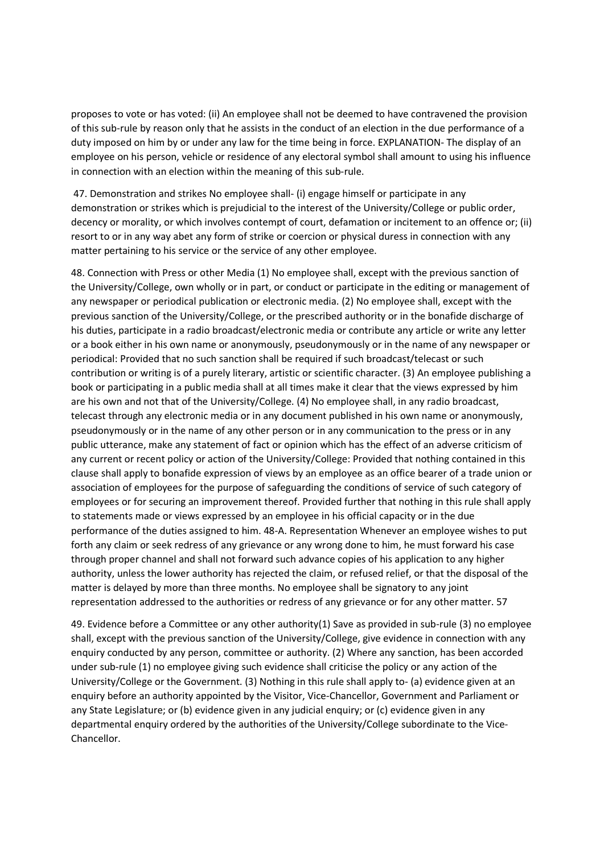proposes to vote or has voted: (ii) An employee shall not be deemed to have contravened the provision of this sub-rule by reason only that he assists in the conduct of an election in the due performance of a duty imposed on him by or under any law for the time being in force. EXPLANATION- The display of an employee on his person, vehicle or residence of any electoral symbol shall amount to using his influence in connection with an election within the meaning of this sub-rule.

 47. Demonstration and strikes No employee shall- (i) engage himself or participate in any demonstration or strikes which is prejudicial to the interest of the University/College or public order, decency or morality, or which involves contempt of court, defamation or incitement to an offence or; (ii) resort to or in any way abet any form of strike or coercion or physical duress in connection with any matter pertaining to his service or the service of any other employee.

48. Connection with Press or other Media (1) No employee shall, except with the previous sanction of the University/College, own wholly or in part, or conduct or participate in the editing or management of any newspaper or periodical publication or electronic media. (2) No employee shall, except with the previous sanction of the University/College, or the prescribed authority or in the bonafide discharge of his duties, participate in a radio broadcast/electronic media or contribute any article or write any letter or a book either in his own name or anonymously, pseudonymously or in the name of any newspaper or periodical: Provided that no such sanction shall be required if such broadcast/telecast or such contribution or writing is of a purely literary, artistic or scientific character. (3) An employee publishing a book or participating in a public media shall at all times make it clear that the views expressed by him are his own and not that of the University/College. (4) No employee shall, in any radio broadcast, telecast through any electronic media or in any document published in his own name or anonymously, pseudonymously or in the name of any other person or in any communication to the press or in any public utterance, make any statement of fact or opinion which has the effect of an adverse criticism of any current or recent policy or action of the University/College: Provided that nothing contained in this clause shall apply to bonafide expression of views by an employee as an office bearer of a trade union or association of employees for the purpose of safeguarding the conditions of service of such category of employees or for securing an improvement thereof. Provided further that nothing in this rule shall apply to statements made or views expressed by an employee in his official capacity or in the due performance of the duties assigned to him. 48-A. Representation Whenever an employee wishes to put forth any claim or seek redress of any grievance or any wrong done to him, he must forward his case through proper channel and shall not forward such advance copies of his application to any higher authority, unless the lower authority has rejected the claim, or refused relief, or that the disposal of the matter is delayed by more than three months. No employee shall be signatory to any joint representation addressed to the authorities or redress of any grievance or for any other matter. 57

49. Evidence before a Committee or any other authority(1) Save as provided in sub-rule (3) no employee shall, except with the previous sanction of the University/College, give evidence in connection with any enquiry conducted by any person, committee or authority. (2) Where any sanction, has been accorded under sub-rule (1) no employee giving such evidence shall criticise the policy or any action of the University/College or the Government. (3) Nothing in this rule shall apply to- (a) evidence given at an enquiry before an authority appointed by the Visitor, Vice-Chancellor, Government and Parliament or any State Legislature; or (b) evidence given in any judicial enquiry; or (c) evidence given in any departmental enquiry ordered by the authorities of the University/College subordinate to the Vice-Chancellor.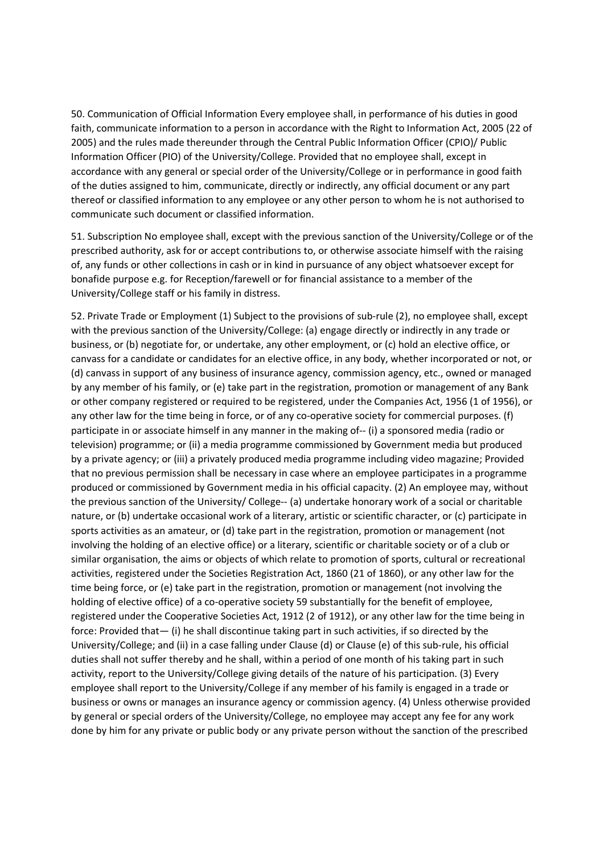50. Communication of Official Information Every employee shall, in performance of his duties in good faith, communicate information to a person in accordance with the Right to Information Act, 2005 (22 of 2005) and the rules made thereunder through the Central Public Information Officer (CPIO)/ Public Information Officer (PIO) of the University/College. Provided that no employee shall, except in accordance with any general or special order of the University/College or in performance in good faith of the duties assigned to him, communicate, directly or indirectly, any official document or any part thereof or classified information to any employee or any other person to whom he is not authorised to communicate such document or classified information.

51. Subscription No employee shall, except with the previous sanction of the University/College or of the prescribed authority, ask for or accept contributions to, or otherwise associate himself with the raising of, any funds or other collections in cash or in kind in pursuance of any object whatsoever except for bonafide purpose e.g. for Reception/farewell or for financial assistance to a member of the University/College staff or his family in distress.

52. Private Trade or Employment (1) Subject to the provisions of sub-rule (2), no employee shall, except with the previous sanction of the University/College: (a) engage directly or indirectly in any trade or business, or (b) negotiate for, or undertake, any other employment, or (c) hold an elective office, or canvass for a candidate or candidates for an elective office, in any body, whether incorporated or not, or (d) canvass in support of any business of insurance agency, commission agency, etc., owned or managed by any member of his family, or (e) take part in the registration, promotion or management of any Bank or other company registered or required to be registered, under the Companies Act, 1956 (1 of 1956), or any other law for the time being in force, or of any co-operative society for commercial purposes. (f) participate in or associate himself in any manner in the making of-- (i) a sponsored media (radio or television) programme; or (ii) a media programme commissioned by Government media but produced by a private agency; or (iii) a privately produced media programme including video magazine; Provided that no previous permission shall be necessary in case where an employee participates in a programme produced or commissioned by Government media in his official capacity. (2) An employee may, without the previous sanction of the University/ College-- (a) undertake honorary work of a social or charitable nature, or (b) undertake occasional work of a literary, artistic or scientific character, or (c) participate in sports activities as an amateur, or (d) take part in the registration, promotion or management (not involving the holding of an elective office) or a literary, scientific or charitable society or of a club or similar organisation, the aims or objects of which relate to promotion of sports, cultural or recreational activities, registered under the Societies Registration Act, 1860 (21 of 1860), or any other law for the time being force, or (e) take part in the registration, promotion or management (not involving the holding of elective office) of a co-operative society 59 substantially for the benefit of employee, registered under the Cooperative Societies Act, 1912 (2 of 1912), or any other law for the time being in force: Provided that— (i) he shall discontinue taking part in such activities, if so directed by the University/College; and (ii) in a case falling under Clause (d) or Clause (e) of this sub-rule, his official duties shall not suffer thereby and he shall, within a period of one month of his taking part in such activity, report to the University/College giving details of the nature of his participation. (3) Every employee shall report to the University/College if any member of his family is engaged in a trade or business or owns or manages an insurance agency or commission agency. (4) Unless otherwise provided by general or special orders of the University/College, no employee may accept any fee for any work done by him for any private or public body or any private person without the sanction of the prescribed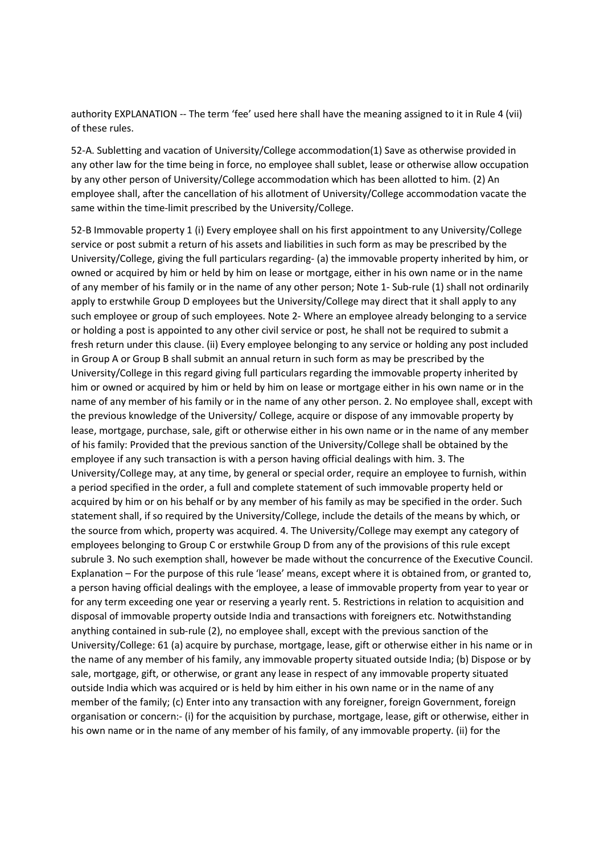authority EXPLANATION -- The term 'fee' used here shall have the meaning assigned to it in Rule 4 (vii) of these rules.

52-A. Subletting and vacation of University/College accommodation(1) Save as otherwise provided in any other law for the time being in force, no employee shall sublet, lease or otherwise allow occupation by any other person of University/College accommodation which has been allotted to him. (2) An employee shall, after the cancellation of his allotment of University/College accommodation vacate the same within the time-limit prescribed by the University/College.

52-B Immovable property 1 (i) Every employee shall on his first appointment to any University/College service or post submit a return of his assets and liabilities in such form as may be prescribed by the University/College, giving the full particulars regarding- (a) the immovable property inherited by him, or owned or acquired by him or held by him on lease or mortgage, either in his own name or in the name of any member of his family or in the name of any other person; Note 1- Sub-rule (1) shall not ordinarily apply to erstwhile Group D employees but the University/College may direct that it shall apply to any such employee or group of such employees. Note 2- Where an employee already belonging to a service or holding a post is appointed to any other civil service or post, he shall not be required to submit a fresh return under this clause. (ii) Every employee belonging to any service or holding any post included in Group A or Group B shall submit an annual return in such form as may be prescribed by the University/College in this regard giving full particulars regarding the immovable property inherited by him or owned or acquired by him or held by him on lease or mortgage either in his own name or in the name of any member of his family or in the name of any other person. 2. No employee shall, except with the previous knowledge of the University/ College, acquire or dispose of any immovable property by lease, mortgage, purchase, sale, gift or otherwise either in his own name or in the name of any member of his family: Provided that the previous sanction of the University/College shall be obtained by the employee if any such transaction is with a person having official dealings with him. 3. The University/College may, at any time, by general or special order, require an employee to furnish, within a period specified in the order, a full and complete statement of such immovable property held or acquired by him or on his behalf or by any member of his family as may be specified in the order. Such statement shall, if so required by the University/College, include the details of the means by which, or the source from which, property was acquired. 4. The University/College may exempt any category of employees belonging to Group C or erstwhile Group D from any of the provisions of this rule except subrule 3. No such exemption shall, however be made without the concurrence of the Executive Council. Explanation – For the purpose of this rule 'lease' means, except where it is obtained from, or granted to, a person having official dealings with the employee, a lease of immovable property from year to year or for any term exceeding one year or reserving a yearly rent. 5. Restrictions in relation to acquisition and disposal of immovable property outside India and transactions with foreigners etc. Notwithstanding anything contained in sub-rule (2), no employee shall, except with the previous sanction of the University/College: 61 (a) acquire by purchase, mortgage, lease, gift or otherwise either in his name or in the name of any member of his family, any immovable property situated outside India; (b) Dispose or by sale, mortgage, gift, or otherwise, or grant any lease in respect of any immovable property situated outside India which was acquired or is held by him either in his own name or in the name of any member of the family; (c) Enter into any transaction with any foreigner, foreign Government, foreign organisation or concern:- (i) for the acquisition by purchase, mortgage, lease, gift or otherwise, either in his own name or in the name of any member of his family, of any immovable property. (ii) for the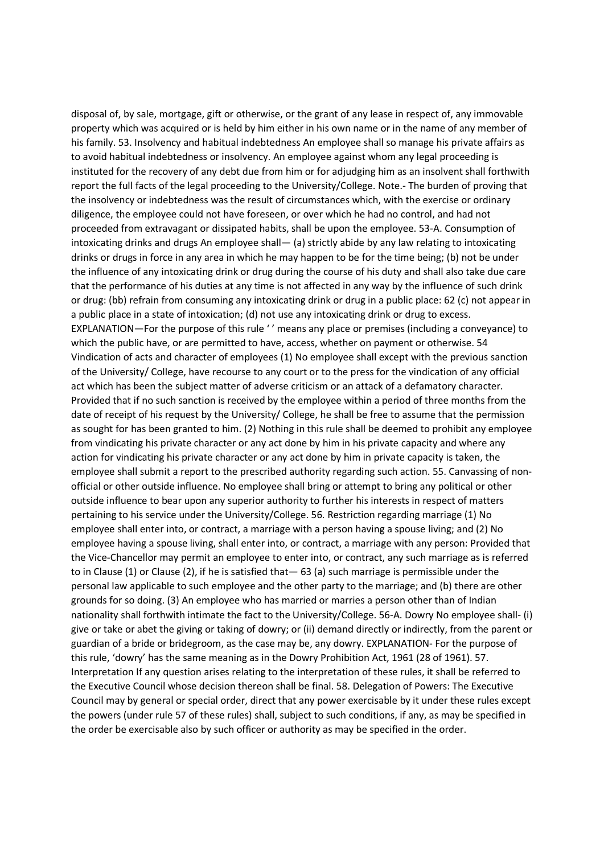disposal of, by sale, mortgage, gift or otherwise, or the grant of any lease in respect of, any immovable property which was acquired or is held by him either in his own name or in the name of any member of his family. 53. Insolvency and habitual indebtedness An employee shall so manage his private affairs as to avoid habitual indebtedness or insolvency. An employee against whom any legal proceeding is instituted for the recovery of any debt due from him or for adjudging him as an insolvent shall forthwith report the full facts of the legal proceeding to the University/College. Note.- The burden of proving that the insolvency or indebtedness was the result of circumstances which, with the exercise or ordinary diligence, the employee could not have foreseen, or over which he had no control, and had not proceeded from extravagant or dissipated habits, shall be upon the employee. 53-A. Consumption of intoxicating drinks and drugs An employee shall— (a) strictly abide by any law relating to intoxicating drinks or drugs in force in any area in which he may happen to be for the time being; (b) not be under the influence of any intoxicating drink or drug during the course of his duty and shall also take due care that the performance of his duties at any time is not affected in any way by the influence of such drink or drug: (bb) refrain from consuming any intoxicating drink or drug in a public place: 62 (c) not appear in a public place in a state of intoxication; (d) not use any intoxicating drink or drug to excess. EXPLANATION—For the purpose of this rule '' means any place or premises (including a conveyance) to which the public have, or are permitted to have, access, whether on payment or otherwise. 54 Vindication of acts and character of employees (1) No employee shall except with the previous sanction of the University/ College, have recourse to any court or to the press for the vindication of any official act which has been the subject matter of adverse criticism or an attack of a defamatory character. Provided that if no such sanction is received by the employee within a period of three months from the date of receipt of his request by the University/ College, he shall be free to assume that the permission as sought for has been granted to him. (2) Nothing in this rule shall be deemed to prohibit any employee from vindicating his private character or any act done by him in his private capacity and where any action for vindicating his private character or any act done by him in private capacity is taken, the employee shall submit a report to the prescribed authority regarding such action. 55. Canvassing of nonofficial or other outside influence. No employee shall bring or attempt to bring any political or other outside influence to bear upon any superior authority to further his interests in respect of matters pertaining to his service under the University/College. 56. Restriction regarding marriage (1) No employee shall enter into, or contract, a marriage with a person having a spouse living; and (2) No employee having a spouse living, shall enter into, or contract, a marriage with any person: Provided that the Vice-Chancellor may permit an employee to enter into, or contract, any such marriage as is referred to in Clause (1) or Clause (2), if he is satisfied that— 63 (a) such marriage is permissible under the personal law applicable to such employee and the other party to the marriage; and (b) there are other grounds for so doing. (3) An employee who has married or marries a person other than of Indian nationality shall forthwith intimate the fact to the University/College. 56-A. Dowry No employee shall- (i) give or take or abet the giving or taking of dowry; or (ii) demand directly or indirectly, from the parent or guardian of a bride or bridegroom, as the case may be, any dowry. EXPLANATION- For the purpose of this rule, 'dowry' has the same meaning as in the Dowry Prohibition Act, 1961 (28 of 1961). 57. Interpretation If any question arises relating to the interpretation of these rules, it shall be referred to the Executive Council whose decision thereon shall be final. 58. Delegation of Powers: The Executive Council may by general or special order, direct that any power exercisable by it under these rules except the powers (under rule 57 of these rules) shall, subject to such conditions, if any, as may be specified in the order be exercisable also by such officer or authority as may be specified in the order.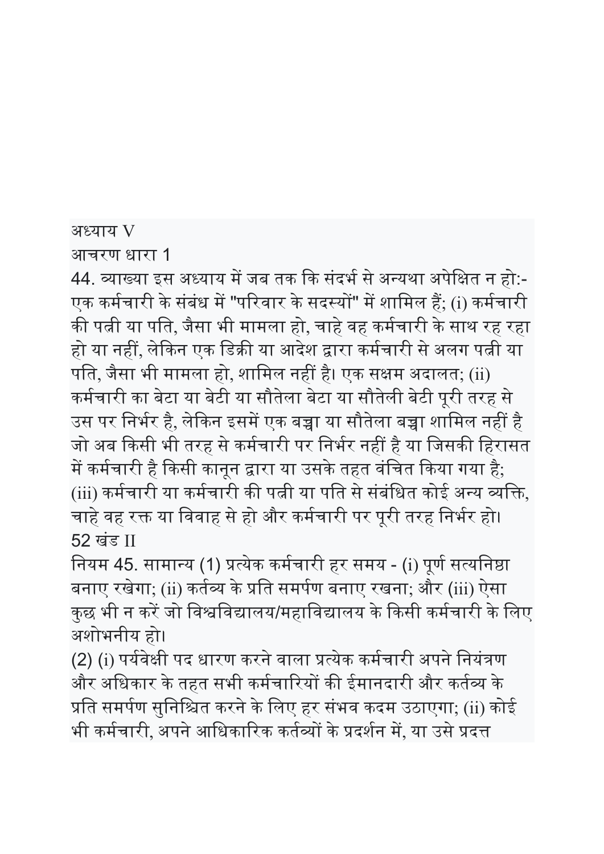अध्याय V

आचरण धारा 1

44. व्याख्या इस अध्याय में जब तक कि संदर्भ से अन्यथा अपेक्षित न हो:-एक कर्मचारी के संबंध में "परिवार के सदस्यों" में शामिल हैं; (i) कर्मचारी की पत्नी या पति, जैसा भी मामला हो, चाहे वह कर्मचारी के साथ रह रहा हो या नहीं, लेकिन एक डिक्री या आदेश द्वारा कर्मचारी से अलग पत्नी या पति, जैसा भी मामला हो, शामिल नहीं है। एक सक्षम अदालत; (ii) कर्मचारी का बेटा या बेटी या सौतेला बेटा या सौतेली बेटी पूरी तरह से उस पर निर्भर है, लेकिन इसमें एक बच्चा या सौतेला बच्चा शामिल नहीं है जो अब किसी भी तरह से कर्मचारी पर निर्भर नहीं है या जिसकी हिरासत में कर्मचारी है किसी कानून द्वारा या उसके तहत वंचित किया गया है; (iii) कर्मचारी या कर्मचारी की पत्नी या पति से संबंधित कोई अन्य व्यक्ति, चाहे वह रक्त या विवाह से हो और कर्मचारी पर पूरी तरह निर्भर हो। 52 खंड II

नियम 45. सामान्य (1) प्रत्येक कर्मचारी हर समय - (i) पूर्ण सत्यनिष्ठा बनाए रखेगा; (ii) कर्तव्य के प्रति समर्पण बनाए रखना; और (iii) ऐसा कुछ भी न करें जो विश्वविद्यालय/महाविद्यालय के किसी कर्मचारी के लिए अशोभनीय हो।

(2) (i) पर्यवेक्षी पद धारण करने वाला प्रत्येक कर्मचारी अपने नियंत्रण और अधिकार के तहत सभी कर्मचारियों की ईमानदारी और कर्तव्य के प्रति समर्पण सुनिश्चित करने के लिए हर संभव कदम उठाएगा; (ii) कोई भी कर्मचारी, अपने आधिकारिक कर्तव्यों के प्रदर्शन में, या उसे प्रदत्त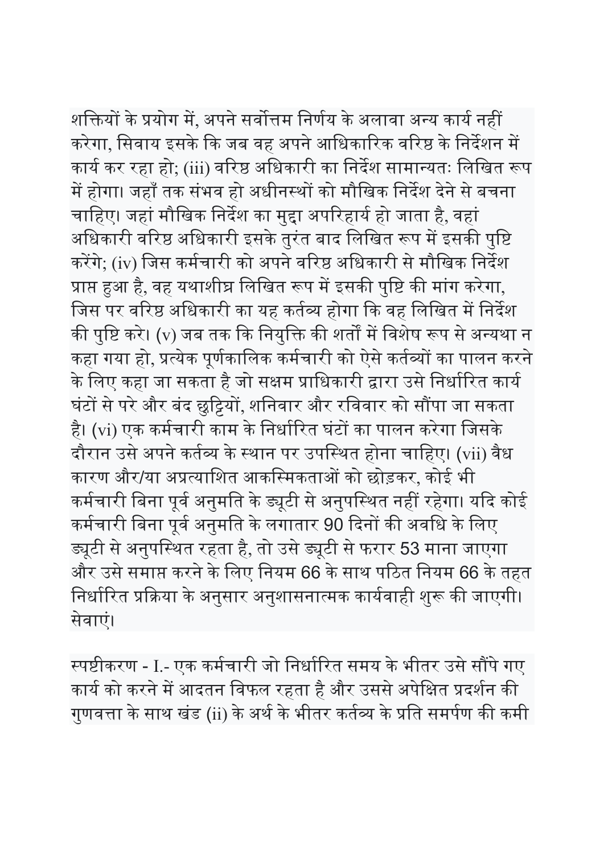शक्तियों के प्रयोग में, अपने सर्वोत्तम निर्णय के अलावा अन्य कार्य नहीं करेगा, सिवाय इसके कि जब वह अपने आधिकारिक वरिष्ठ के निर्देशन में कार्य कर रहा हो; (iii) वरिष्ठ अधिकारी का निर्देश सामान्यतः लिखित रूप में होगा। जहाँ तक संभव हो अधीनस्थों को मौखिक निर्देश देने से बचना चाहिए। जहां मौखिक निर्देश का मुद्दा अपरिहार्य हो जाता है, वहां अधिकारी वरिष्ठ अधिकारी इसके तुरंत बाद लिखित रूप में इसकी पुष्टि करेंगे; (iv) जिस कर्मचारी को अपने वरिष्ठ अधिकारी से मौखिक निर्देश प्राप्त हुआ है, वह यथाशीघ्र लिखित रूप में इसकी पुष्टि की मांग करेगा, जिस पर वरिष्ठ अधिकारी का यह कर्तव्य होगा कि वह लिखित में निर्देश की पुष्टि करे। (v) जब तक कि नियुक्ति की शर्तों में विशेष रूप से अन्यथा न कहा गया हो, प्रत्येक पूर्णकालिक कर्मचारी को ऐसे कर्तव्यों का पालन करने के लिए कहा जा सकता है जो सक्षम प्राधिकारी द्वारा उसे निर्धारित कार्य घंटों से परे और बंद छुट्टियों, शनिवार और रविवार को सौंपा जा सकता है। (vi) एक कर्मचारी काम के निर्धारित घंटों का पालन करेगा जिसके दौरान उसे अपने कर्तव्य के स्थान पर उपस्थित होना चाहिए। (vii) वैध कारण और/या अप्रत्याशित आकस्मिकताओं को छोड़कर, कोई भी कर्मचारी बिना पूर्व अनुमति के ड्यूटी से अनुपस्थित नहीं रहेगा। यदि कोई कर्मचारी बिना पूर्व अनुमति के लगातार 90 दिनों की अवधि के लिए Ჽूटी से अनुपि᭭थत रहता है, तो उसे Ჽूटी से फरार 53 माना जाएगा और उसे समाप्त करने के लिए नियम 66 के साथ पठित नियम 66 के तहत निर्धारित प्रक्रिया के अनुसार अनुशासनात्मक कार्यवाही शुरू की जाएगी। सेवाएं।

स्पष्टीकरण - I.- एक कर्मचारी जो निर्धारित समय के भीतर उसे सौंपे गए कार्य को करने में आदतन विफल रहता है और उससे अपेक्षित प्रदर्शन की गुणवत्ता के साथ खंड (ii) के अर्थ के भीतर कर्तव्य के प्रति समर्पण की कमी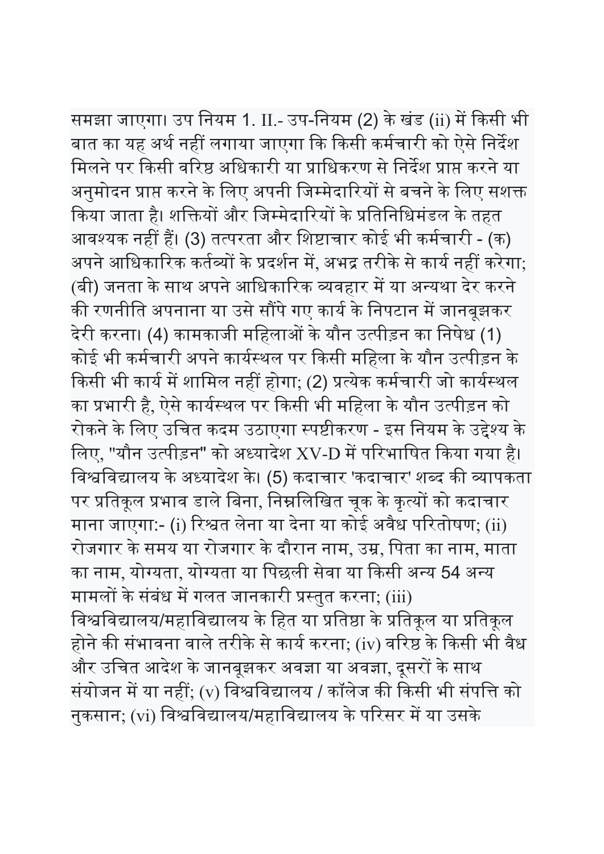समझा जाएगा। उप नियम 1. II.- उप-नियम (2) के खंड (ii) में किसी भी बात का यह अर्थ नहीं लगाया जाएगा कि किसी कर्मचारी को ऐसे निर्देश मिलने पर किसी वरिष्ठ अधिकारी या प्राधिकरण से निर्देश प्राप्त करने या अनुमोदन प्राप्त करने के लिए अपनी जिम्मेदारियों से बचने के लिए सशक्त किया जाता है। शक्तियों और जिम्मेदारियों के प्रतिनिधिमंडल के तहत आवश्यक नहीं हैं। (3) तत्परता और शिष्टाचार कोई भी कर्मचारी - (क) अपने आधिकारिक कर्तव्यों के प्रदर्शन में, अभद्र तरीके से कार्य नहीं करेगा; (बी) जनता के साथ अपने आधिकारिक व्यवहार में या अन्यथा देर करने की रणनीति अपनाना या उसे सौंपे गए कार्य के निपटान में जानबूझकर देरी करना। (4) कामकाजी महिलाओं के यौन उत्पीड़न का निषेध (1) कोई भी कर्मचारी अपने कार्यस्थल पर किसी महिला के यौन उत्पीड़न के किसी भी कार्य में शामिल नहीं होगा; (2) प्रत्येक कर्मचारी जो कार्यस्थल का प्रभारी है, ऐसे कार्यस्थल पर किसी भी महिला के यौन उत्पीड़न को रोकने के लिए उचित कदम उठाएगा स्पष्टीकरण - इस नियम के उद्देश्य के लिए, "यौन उत्पीड़न" को अध्यादेश XV-D में परिभाषित किया गया है। विश्वविद्यालय के अध्यादेश के। (5) कदाचार 'कदाचार' शब्द की व्यापकता पर प्रतिकूल प्रभाव डाले बिना, निम्नलिखित चूक के कृत्यों को कदाचार माना जाएगा:- (i) रिश्वत लेना या देना या कोई अवैध परितोषण; (ii) रोजगार के समय या रोजगार के दौरान नाम, उ᮫, िपता का नाम, माता का नाम, योग्यता, योग्यता या पिछली सेवा या किसी अन्य 54 अन्य मामलों के संबंध में गलत जानकारी प्रस्तुत करना; (iii) विश्वविद्यालय/महाविद्यालय के हित या प्रतिष्ठा के प्रतिकूल या प्रतिकूल होने की संभावना वाले तरीके से कार्य करना; (iv) वरिष्ठ के किसी भी वैध और उचित आदेश के जानबूझकर अवज्ञा या अवज्ञा, दूसरों के साथ संयोजन में या नहीं; (v) विश्वविद्यालय / कॉलेज की किसी भी संपत्ति को नुकसान; (vi) विश्वविद्यालय/महाविद्यालय के परिसर में या उसके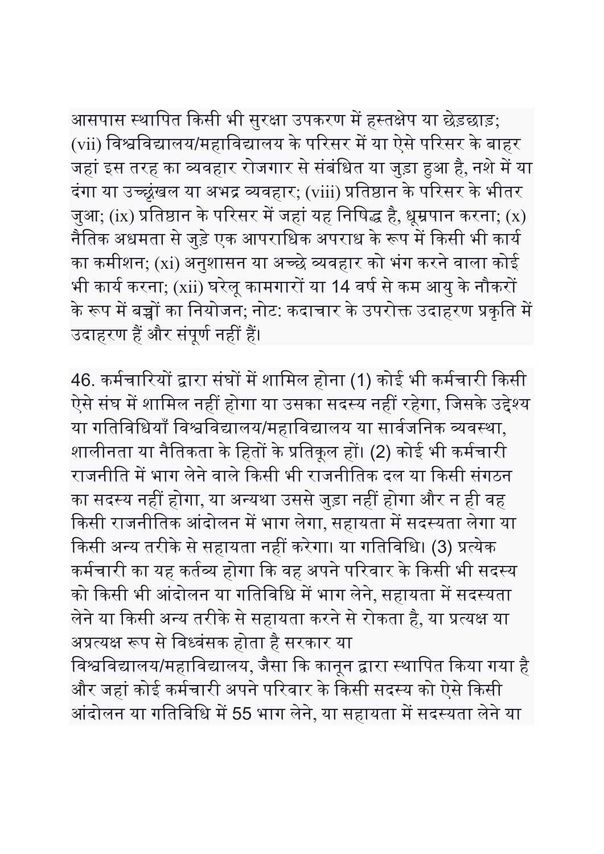आसपास स्थापित किसी भी सुरक्षा उपकरण में हस्तक्षेप या छेड़छाड़; (vii) विश्वविद्यालय/महाविद्यालय के परिसर में या ऐसे परिसर के बाहर जहां इस तरह का व्यवहार रोजगार से संबंधित या जुड़ा हुआ है, नशे में या दंगा या उच्छृंखल या अभद्र व्यवहार; (viii) प्रतिष्ठान के परिसर के भीतर जुआ; (ix) प्रतिष्ठान के परिसर में जहां यह निषिद्ध है, धूम्रपान करना; (x) नैतिक अधमता से जुड़े एक आपराधिक अपराध के रूप में किसी भी कार्य का कमीशन; (xi) अनुशासन या अच्छे व्यवहार को भंग करने वाला कोई भी कार्य करना; (xii) घरेलू कामगारों या 14 वर्ष से कम आयु के नौकरों के रूप में बच्चों का नियोजन; नोट: कदाचार के उपरोक्त उदाहरण प्रकृति में उदाहरण हैं और संपूर्ण नहीं हैं।

46. कर्मचारियों द्वारा संघों में शामिल होना (1) कोई भी कर्मचारी किसी ऐसे संघ में शामिल नहीं होगा या उसका सदस्य नहीं रहेगा, जिसके उद्देश्य या गतिविधियाँ विश्वविद्यालय/महाविद्यालय या सार्वजनिक व्यवस्था, शालीनता या नैतिकता के हितों के प्रतिकूल हों। (2) कोई भी कर्मचारी राजनीति में भाग लेने वाले किसी भी राजनीतिक दल या किसी संगठन का सदस्य नहीं होगा, या अन्यथा उससे जुड़ा नहीं होगा और न ही वह किसी राजनीतिक आंदोलन में भाग लेगा, सहायता में सदस्यता लेगा या किसी अन्य तरीके से सहायता नहीं करेगा। या गतिविधि। (3) प्रत्येक कर्मचारी का यह कर्तव्य होगा कि वह अपने परिवार के किसी भी सदस्य को किसी भी आंदोलन या गतिविधि में भाग लेने, सहायता में सदस्यता लेने या किसी अन्य तरीके से सहायता करने से रोकता है, या प्रत्यक्ष या अप्रत्यक्ष रूप से विध्वंसक होता है सरकार या

विश्वविद्यालय/महाविद्यालय, जैसा कि कानून द्वारा स्थापित किया गया है और जहां कोई कर्मचारी अपने परिवार के किसी सदस्य को ऐसे किसी आंदोलन या गतिविधि में 55 भाग लेने, या सहायता में सदस्यता लेने या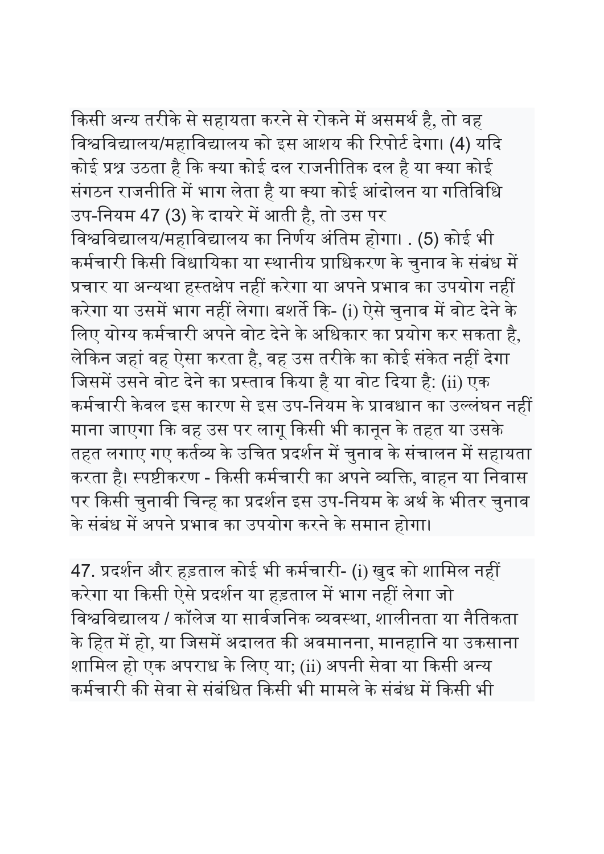किसी अन्य तरीके से सहायता करने से रोकने में असमर्थ है, तो वह विश्वविद्यालय/महाविद्यालय को इस आशय की रिपोर्ट देगा। (4) यदि कोई प्रश्न उठता है कि क्या कोई दल राजनीतिक दल है या क्या कोई संगठन राजनीति में भाग लेता है या क्या कोई आंदोलन या गतिविधि उप-नियम 47 (3) के दायरे में आती है, तो उस पर

विश्वविद्यालय/महाविद्यालय का निर्णय अंतिम होगा। . (5) कोई भी कर्मचारी किसी विधायिका या स्थानीय प्राधिकरण के चुनाव के संबंध में प्रचार या अन्यथा हस्तक्षेप नहीं करेगा या अपने प्रभाव का उपयोग नहीं करेगा या उसमें भाग नहीं लेगा। बशर्ते कि- (i) ऐसे चुनाव में वोट देने के लिए योग्य कर्मचारी अपने वोट देने के अधिकार का प्रयोग कर सकता है, लेकिन जहां वह ऐसा करता है, वह उस तरीके का कोई संकेत नहीं देगा जिसमें उसने वोट देने का प्रस्ताव किया है या वोट दिया है: (ii) एक कर्मचारी केवल इस कारण से इस उप-नियम के प्रावधान का उल्लंघन नहीं माना जाएगा ᳰक वह उस पर लागू ᳰकसी भी कानून के तहत या उसके तहत लगाए गए कर्तव्य के उचित प्रदर्शन में चुनाव के संचालन में सहायता करता है। स्पष्टीकरण - किसी कर्मचारी का अपने व्यक्ति, वाहन या निवास पर किसी चुनावी चिन्ह का प्रदर्शन इस उप-नियम के अर्थ के भीतर चुनाव के संबंध में अपने प्रभाव का उपयोग करने के समान होगा।

47. प्रदर्शन और हड़ताल कोई भी कर्मचारी- (i) खुद को शामिल नहीं करेगा या किसी ऐसे प्रदर्शन या हड़ताल में भाग नहीं लेगा जो विश्वविद्यालय / कॉलेज या सार्वजनिक व्यवस्था, शालीनता या नैतिकता के हित में हो, या जिसमें अदालत की अवमानना, मानहानि या उकसाना शामिल हो एक अपराध के लिए या; (ii) अपनी सेवा या किसी अन्य कर्मचारी की सेवा से संबंधित किसी भी मामले के संबंध में किसी भी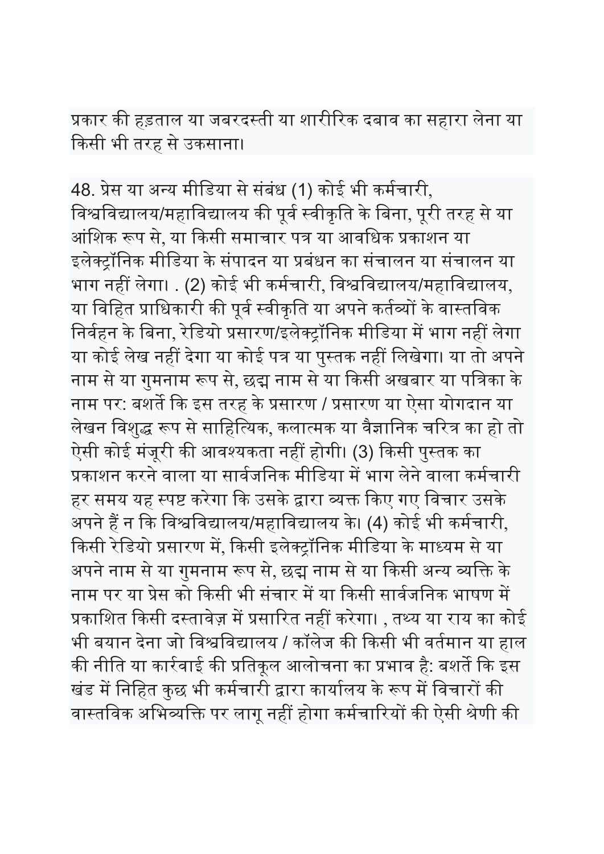प्रकार की हड़ताल या जबरदस्ती या शारीरिक दबाव का सहारा लेना या ᳰकसी भी तरह से उकसाना।

48. प्रेस या अन्य मीडिया से संबंध (1) कोई भी कर्मचारी, विश्वविद्यालय/महाविद्यालय की पूर्व स्वीकृति के बिना, पूरी तरह से या आंशिक रूप से, या किसी समाचार पत्र या आवधिक प्रकाशन या इलेक्ट्रॉनिक मीडिया के संपादन या प्रबंधन का संचालन या संचालन या भाग नहीं लेगा। . (2) कोई भी कर्मचारी, विश्वविद्यालय/महाविद्यालय, या विहित प्राधिकारी की पूर्व स्वीकृति या अपने कर्तव्यों के वास्तविक निर्वहन के बिना, रेडियो प्रसारण/इलेक्ट्रॉनिक मीडिया में भाग नहीं लेगा या कोई लेख नहीं देगा या कोई पत्र या पुस्तक नहीं लिखेगा। या तो अपने नाम से या गुमनाम रूप से, छद्म नाम से या किसी अखबार या पत्रिका के नाम पर: बशर्ते कि इस तरह के प्रसारण / प्रसारण या ऐसा योगदान या लेखन विशुद्ध रूप से साहित्यिक, कलात्मक या वैज्ञानिक चरित्र का हो तो ऐसी कोई मंजूरी की आवश्यकता नहीं होगी। (3) किसी पुस्तक का प्रकाशन करने वाला या सार्वजनिक मीडिया में भाग लेने वाला कर्मचारी हर समय यह स्पष्ट करेगा कि उसके द्वारा व्यक्त किए गए विचार उसके अपने हैं न कि विश्वविद्यालय/महाविद्यालय के। (4) कोई भी कर्मचारी, किसी रेडियो प्रसारण में, किसी इलेक्ट्रॉनिक मीडिया के माध्यम से या अपने नाम से या गुमनाम रूप से, छद्म नाम से या किसी अन्य व्यक्ति के नाम पर या प्रेस को किसी भी संचार में या किसी सार्वजनिक भाषण में प्रकाशित किसी दस्तावेज़ में प्रसारित नहीं करेगा। , तथ्य या राय का कोई भी बयान देना जो विश्वविद्यालय / कॉलेज की किसी भी वर्तमान या हाल की नीति या कार्रवाई की प्रतिकूल आलोचना का प्रभाव है: बशर्ते कि इस खंड में निहित कुछ भी कर्मचारी द्वारा कार्यालय के रूप में विचारों की वास्तविक अभिव्यक्ति पर लागू नहीं होगा कर्मचारियों की ऐसी श्रेणी की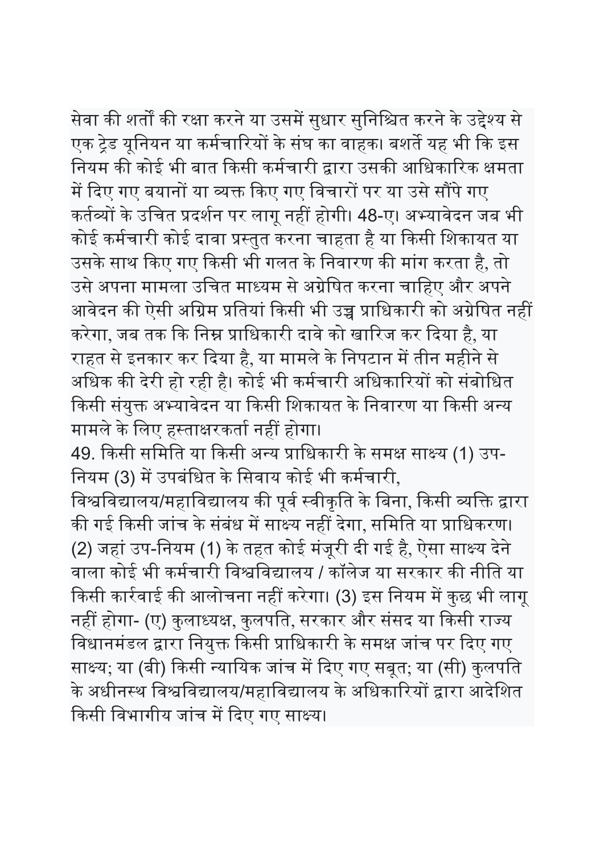सेवा की शर्तों की रक्षा करने या उसमें सुधार सुनिश्चित करने के उद्देश्य से एक ट्रेड यूनियन या कर्मचारियों के संघ का वाहक। बशर्ते यह भी कि इस नियम की कोई भी बात किसी कर्मचारी द्वारा उसकी आधिकारिक क्षमता में दिए गए बयानों या व्यक्त किए गए विचारों पर या उसे सौंपे गए कर्तव्यों के उचित प्रदर्शन पर लागू नहीं होगी। 48-ए। अभ्यावेदन जब भी कोई कर्मचारी कोई दावा प्रस्तुत करना चाहता है या किसी शिकायत या उसके साथ किए गए किसी भी गलत के निवारण की मांग करता है, तो उसे अपना मामला उचित माध्यम से अग्रेषित करना चाहिए और अपने आवेदन की ऐसी अग्रिम प्रतियां किसी भी उच्च प्राधिकारी को अग्रेषित नहीं करेगा, जब तक कि निम्न प्राधिकारी दावे को खारिज कर दिया है, या राहत से इनकार कर दिया है, या मामले के निपटान में तीन महीने से अधिक की देरी हो रही है। कोई भी कर्मचारी अधिकारियों को संबोधित किसी संयुक्त अभ्यावेदन या किसी शिकायत के निवारण या किसी अन्य मामले के लिए हस्ताक्षरकर्ता नहीं होगा। 49. किसी समिति या किसी अन्य प्राधिकारी के समक्ष साक्ष्य (1) उप-नियम (3) में उपबंधित के सिवाय कोई भी कर्मचारी, विश्वविद्यालय/महाविद्यालय की पूर्व स्वीकृति के बिना, किसी व्यक्ति द्वारा की गई किसी जांच के संबंध में साक्ष्य नहीं देगा, समिति या प्राधिकरण। (2) जहां उप-िनयम (1) के तहत कोई मंजूरी दी गई है, ऐसा सा᭯य देने वाला कोई भी कर्मचारी विश्वविद्यालय / कॉलेज या सरकार की नीति या किसी कार्रवाई की आलोचना नहीं करेगा। (3) इस नियम में कुछ भी लागू

नहीं होगा- (ए) कुलाध्यक्ष, कुलपति, सरकार और संसद या किसी राज्य विधानमंडल द्वारा नियुक्त किसी प्राधिकारी के समक्ष जांच पर दिए गए साक्ष्य; या (बी) किसी न्यायिक जांच में दिए गए सबूत; या (सी) कुलपति के अधीनस्थ विश्वविद्यालय/महाविद्यालय के अधिकारियों द्वारा आदेशित किसी विभागीय जांच में दिए गए साक्ष्य।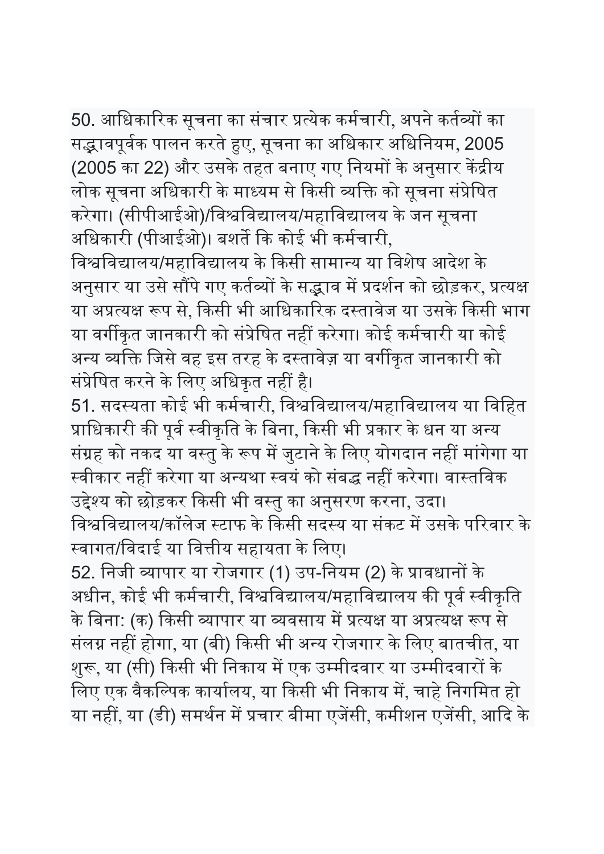50. आधिकारिक सूचना का संचार प्रत्येक कर्मचारी, अपने कर्तव्यों का सद्भावपूर्वक पालन करते हुए, सूचना का अधिकार अधिनियम, 2005 (2005 का 22) और उसके तहत बनाए गए नियमों के अनुसार केंद्रीय लोक सूचना अधिकारी के माध्यम से किसी व्यक्ति को सूचना संप्रेषित करेगा। (सीपीआईओ)/विश्वविद्यालय/महाविद्यालय के जन सूचना अधिकारी (पीआईओ)। बशर्ते कि कोई भी कर्मचारी,

विश्वविद्यालय/महाविद्यालय के किसी सामान्य या विशेष आदेश के अनुसार या उसे सौंपे गए कर्तव्यों के सद्भाव में प्रदर्शन को छोड़कर, प्रत्यक्ष या अप्रत्यक्ष रूप से, किसी भी आधिकारिक दस्तावेज या उसके किसी भाग या वर्गीकृत जानकारी को संप्रेषित नहीं करेगा। कोई कर्मचारी या कोई अन्य व्यक्ति जिसे वह इस तरह के दस्तावेज़ या वर्गीकृत जानकारी को संप्रेषित करने के लिए अधिकृत नहीं है।

51. सदस्यता कोई भी कर्मचारी, विश्वविद्यालय/महाविद्यालय या विहित प्राधिकारी की पूर्व स्वीकृति के बिना, किसी भी प्रकार के धन या अन्य संग्रह को नकद या वस्तु के रूप में जुटाने के लिए योगदान नहीं मांगेगा या स्वीकार नहीं करेगा या अन्यथा स्वयं को संबद्ध नहीं करेगा। वास्तविक उद्देश्य को छोड़कर किसी भी वस्तु का अनुसरण करना, उदा। विश्वविद्यालय/कॉलेज स्टाफ के किसी सदस्य या संकट में उसके परिवार के स्वागत/विदाई या वित्तीय सहायता के लिए।

52. निजी व्यापार या रोजगार (1) उप-नियम (2) के प्रावधानों के अधीन, कोई भी कर्मचारी, विश्वविद्यालय/महाविद्यालय की पूर्व स्वीकृति के बिना: (क) किसी व्यापार या व्यवसाय में प्रत्यक्ष या अप्रत्यक्ष रूप से संलग्न नहीं होगा, या (बी) किसी भी अन्य रोजगार के लिए बातचीत, या शुरू, या (सी) किसी भी निकाय में एक उम्मीदवार या उम्मीदवारों के लिए एक वैकल्पिक कार्यालय, या किसी भी निकाय में, चाहे निगमित हो या नहीं, या (डी) समर्थन में प्रचार बीमा एजेंसी, कमीशन एजेंसी, आदि के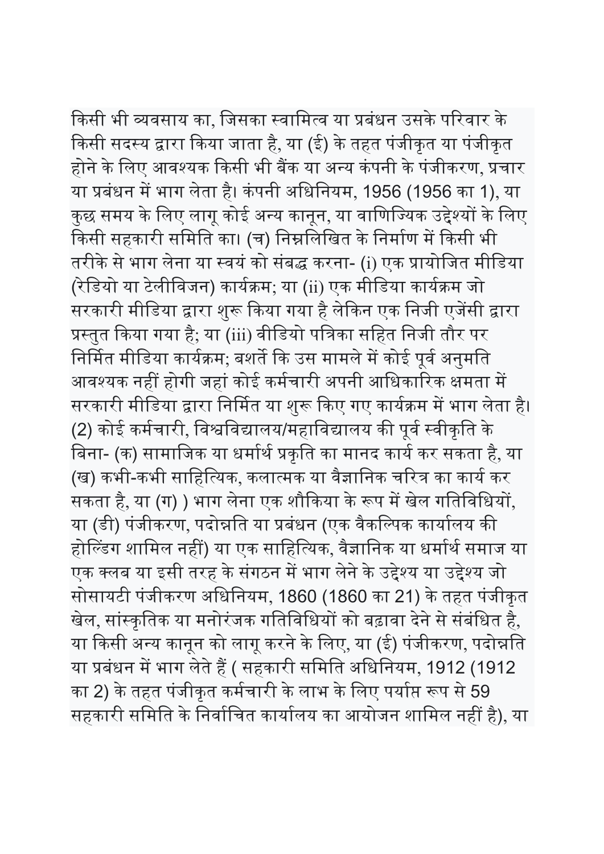किसी भी व्यवसाय का, जिसका स्वामित्व या प्रबंधन उसके परिवार के किसी सदस्य द्वारा किया जाता है, या (ई) के तहत पंजीकृत या पंजीकृत होने के लिए आवश्यक किसी भी बैंक या अन्य कंपनी के पंजीकरण, प्रचार या प्रबंधन में भाग लेता है। कंपनी अधिनियम, 1956 (1956 का 1), या कुछ समय के लिए लागू कोई अन्य कानून, या वाणिज्यिक उद्देश्यों के लिए किसी सहकारी समिति का। (च) निम्नलिखित के निर्माण में किसी भी तरीके से भाग लेना या स्वयं को संबद्ध करना- (i) एक प्रायोजित मीडिया (रेडियो या टेलीविजन) कार्यक्रम; या (ii) एक मीडिया कार्यक्रम जो सरकारी मीडिया द्वारा शुरू किया गया है लेकिन एक निजी एजेंसी द्वारा प्रस्तुत किया गया है; या (iii) वीडियो पत्रिका सहित निजी तौर पर निर्मित मीडिया कार्यक्रम; बशर्ते कि उस मामले में कोई पूर्व अनुमति आवश्यक नहीं होगी जहां कोई कर्मचारी अपनी आधिकारिक क्षमता में सरकारी मीडिया द्वारा निर्मित या शुरू किए गए कार्यक्रम में भाग लेता है। (2) कोई कर्मचारी, विश्वविद्यालय/महाविद्यालय की पूर्व स्वीकृति के बिना- (क) सामाजिक या धर्मार्थ प्रकृति का मानद कार्य कर सकता है, या (ख) कभी-कभी साहित्यिक, कलात्मक या वैज्ञानिक चरित्र का कार्य कर सकता है, या (ग) ) भाग लेना एक शौकिया के रूप में खेल गतिविधियों, या (डी) पंजीकरण, पदोन्नति या प्रबंधन (एक वैकल्पिक कार्यालय की होल्डिंग शामिल नहीं) या एक साहित्यिक, वैज्ञानिक या धर्मार्थ समाज या एक क्लब या इसी तरह के संगठन में भाग लेने के उद्देश्य या उद्देश्य जो सोसायटी पंजीकरण अधिनियम, 1860 (1860 का 21) के तहत पंजीकृत खेल, सांस्कृतिक या मनोरंजक गतिविधियों को बढ़ावा देने से संबंधित है, या किसी अन्य कानून को लागू करने के लिए, या (ई) पंजीकरण, पदोन्नति या प्रबंधन में भाग लेते हैं ( सहकारी समिति अधिनियम, 1912 (1912 का 2) के तहत पंजीकृत कर्मचारी के लाभ के लिए पर्याप्त रूप से 59 सहकारी समिति के निर्वाचित कार्यालय का आयोजन शामिल नहीं है), या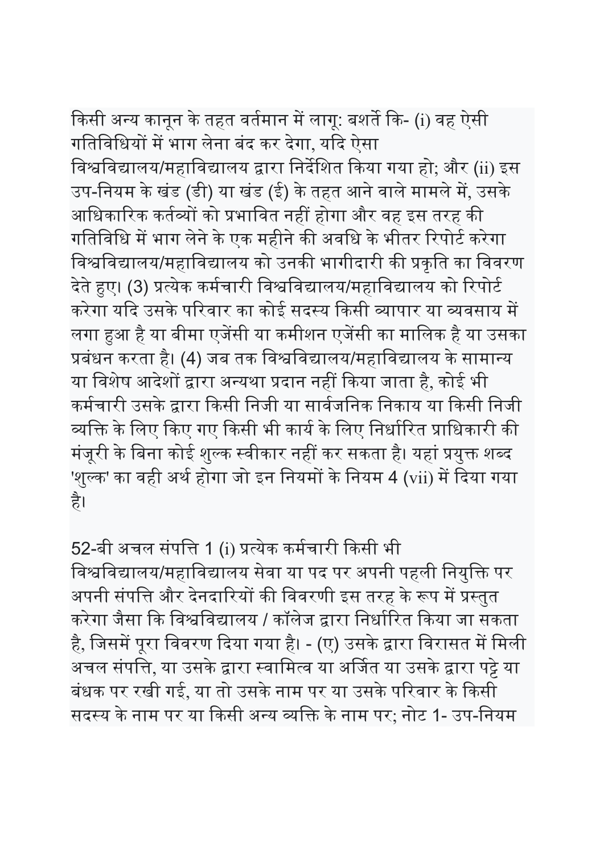किसी अन्य कानून के तहत वर्तमान में लागू: बशर्ते कि- (i) वह ऐसी गतिविधियों में भाग लेना बंद कर देगा, यदि ऐसा विश्वविद्यालय/महाविद्यालय द्वारा निर्देशित किया गया हो; और (ii) इस उप-नियम के खंड (डी) या खंड (ई) के तहत आने वाले मामले में, उसके आधिकारिक कर्तव्यों को प्रभावित नहीं होगा और वह इस तरह की गतिविधि में भाग लेने के एक महीने की अवधि के भीतर रिपोर्ट करेगा विश्वविद्यालय/महाविद्यालय को उनकी भागीदारी की प्रकृति का विवरण देते हुए। (3) प्रत्येक कर्मचारी विश्वविद्यालय/महाविद्यालय को रिपोर्ट करेगा यदि उसके परिवार का कोई सदस्य किसी व्यापार या व्यवसाय में लगा हुआ है या बीमा एजेंसी या कमीशन एजेंसी का मालिक है या उसका प्रबंधन करता है। (4) जब तक विश्वविद्यालय/महाविद्यालय के सामान्य या विशेष आदेशों द्वारा अन्यथा प्रदान नहीं किया जाता है, कोई भी कर्मचारी उसके द्वारा किसी निजी या सार्वजनिक निकाय या किसी निजी व्यक्ति के लिए किए गए किसी भी कार्य के लिए निर्धारित प्राधिकारी की

मंजूरी के बिना कोई शुल्क स्वीकार नहीं कर सकता है। यहां प्रयुक्त शब्द 'शुल्क' का वही अर्थ होगा जो इन नियमों के नियम 4 (vii) में दिया गया है।

52-बी अचल संपत्ति 1 (i) प्रत्येक कर्मचारी किसी भी विश्वविद्यालय/महाविद्यालय सेवा या पद पर अपनी पहली नियुक्ति पर अपनी संपत्ति और देनदारियों की विवरणी इस तरह के रूप में प्रस्तुत करेगा जैसा कि विश्वविद्यालय / कॉलेज द्वारा निर्धारित किया जा सकता है, जिसमें पूरा विवरण दिया गया है। - (ए) उसके द्वारा विरासत में मिली अचल संपत्ति, या उसके द्वारा स्वामित्व या अर्जित या उसके द्वारा पट्टे या बंधक पर रखी गई, या तो उसके नाम पर या उसके परिवार के किसी सदस्य के नाम पर या किसी अन्य व्यक्ति के नाम पर; नोट 1- उप-नियम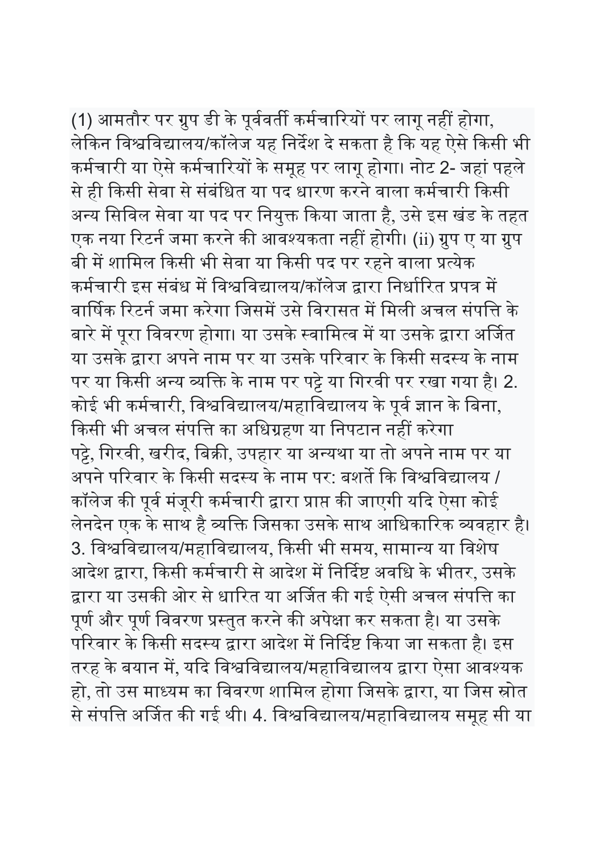(1) आमतौर पर ग्रुप डी के पूर्ववर्ती कर्मचारियों पर लागू नहीं होगा, लेकिन विश्वविद्यालय/कॉलेज यह निर्देश दे सकता है कि यह ऐसे किसी भी कर्मचारी या ऐसे कर्मचारियों के समूह पर लागू होगा। नोट 2- जहां पहले से ही किसी सेवा से संबंधित या पद धारण करने वाला कर्मचारी किसी अन्य सिविल सेवा या पद पर नियुक्त किया जाता है, उसे इस खंड के तहत एक नया रिटर्न जमा करने की आवश्यकता नहीं होगी। (ii) ग्रुप ए या ग्रुप बी में शामिल किसी भी सेवा या किसी पद पर रहने वाला प्रत्येक कर्मचारी इस संबंध में विश्वविद्यालय/कॉलेज द्वारा निर्धारित प्रपत्र में वार्षिक रिटर्न जमा करेगा जिसमें उसे विरासत में मिली अचल संपत्ति के बारे में पूरा विवरण होगा। या उसके स्वामित्व में या उसके द्वारा अर्जित या उसके द्वारा अपने नाम पर या उसके परिवार के किसी सदस्य के नाम पर या किसी अन्य व्यक्ति के नाम पर पट्टे या गिरवी पर रखा गया है। 2. कोई भी कर्मचारी, विश्वविद्यालय/महाविद्यालय के पूर्व ज्ञान के बिना, किसी भी अचल संपत्ति का अधिग्रहण या निपटान नहीं करेगा पट्टे, गिरवी, खरीद, बिक्री, उपहार या अन्यथा या तो अपने नाम पर या अपने परिवार के किसी सदस्य के नाम पर: बशर्ते कि विश्वविद्यालय / कॉलेज की पूर्व मंजूरी कर्मचारी द्वारा प्राप्त की जाएगी यदि ऐसा कोई लेनदेन एक के साथ है व्यक्ति जिसका उसके साथ आधिकारिक व्यवहार है। 3. विश्वविद्यालय/महाविद्यालय, किसी भी समय, सामान्य या विशेष आदेश द्वारा, किसी कर्मचारी से आदेश में निर्दिष्ट अवधि के भीतर, उसके द्वारा या उसकी ओर से धारित या अर्जित की गई ऐसी अचल संपत्ति का पूर्ण और पूर्ण विवरण प्रस्तुत करने की अपेक्षा कर सकता है। या उसके परिवार के किसी सदस्य द्वारा आदेश में निर्दिष्ट किया जा सकता है। इस तरह के बयान में, यदि विश्वविद्यालय/महाविद्यालय द्वारा ऐसा आवश्यक हो, तो उस माध्यम का विवरण शामिल होगा जिसके द्वारा, या जिस स्रोत से संपत्ति अर्जित की गई थी। 4. विश्वविद्यालय/महाविद्यालय समूह सी या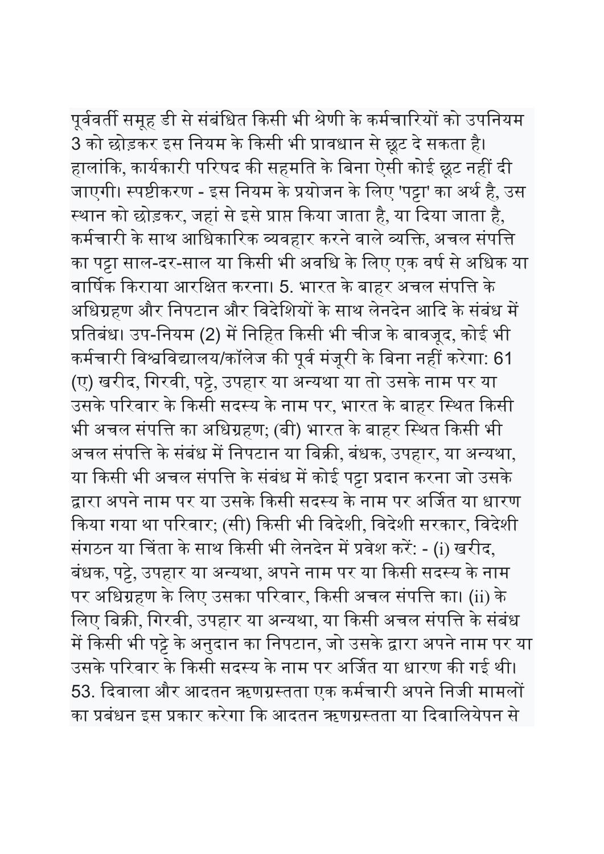पूर्ववर्ती समूह डी से संबंधित किसी भी श्रेणी के कर्मचारियों को उपनियम

3 को छोड़कर इस नियम के किसी भी प्रावधान से छूट दे सकता है। हालांकि, कार्यकारी परिषद की सहमति के बिना ऐसी कोई छूट नहीं दी जाएगी। स्पष्टीकरण - इस नियम के प्रयोजन के लिए 'पट्टा' का अर्थ है, उस स्थान को छोड़कर, जहां से इसे प्राप्त किया जाता है, या दिया जाता है, कर्मचारी के साथ आधिकारिक व्यवहार करने वाले व्यक्ति, अचल संपत्ति का पट्टा साल-दर-साल या किसी भी अवधि के लिए एक वर्ष से अधिक या वार्षिक किराया आरक्षित करना। 5. भारत के बाहर अचल संपत्ति के अधिग्रहण और निपटान और विदेशियों के साथ लेनदेन आदि के संबंध में प्रतिबंध। उप-नियम (2) में निहित किसी भी चीज के बावजूद, कोई भी कर्मचारी विश्वविद्यालय/कॉलेज की पूर्व मंजूरी के बिना नहीं करेगा: 61 (ए) खरीद, गिरवी, पट्टे, उपहार या अन्यथा या तो उसके नाम पर या उसके परिवार के किसी सदस्य के नाम पर, भारत के बाहर स्थित किसी भी अचल संपत्ति का अधिग्रहण; (बी) भारत के बाहर स्थित किसी भी अचल संपत्ति के संबंध में निपटान या बिक्री, बंधक, उपहार, या अन्यथा, या किसी भी अचल संपत्ति के संबंध में कोई पट्टा प्रदान करना जो उसके द्वारा अपने नाम पर या उसके किसी सदस्य के नाम पर अर्जित या धारण किया गया था परिवार; (सी) किसी भी विदेशी, विदेशी सरकार, विदेशी संगठन या चिंता के साथ किसी भी लेनदेन में प्रवेश करें: - (i) खरीद, बंधक, पट्टे, उपहार या अन्यथा, अपने नाम पर या किसी सदस्य के नाम पर अधिग्रहण के लिए उसका परिवार, किसी अचल संपत्ति का। (ii) के लिए बिक्री, गिरवी, उपहार या अन्यथा, या किसी अचल संपत्ति के संबंध में किसी भी पट्टे के अनुदान का निपटान, जो उसके द्वारा अपने नाम पर या उसके परिवार के किसी सदस्य के नाम पर अर्जित या धारण की गई थी। 53. दिवाला और आदतन ऋणग्रस्तता एक कर्मचारी अपने निजी मामलों का प्रबंधन इस प्रकार करेगा कि आदतन ऋणग्रस्तता या दिवालियेपन से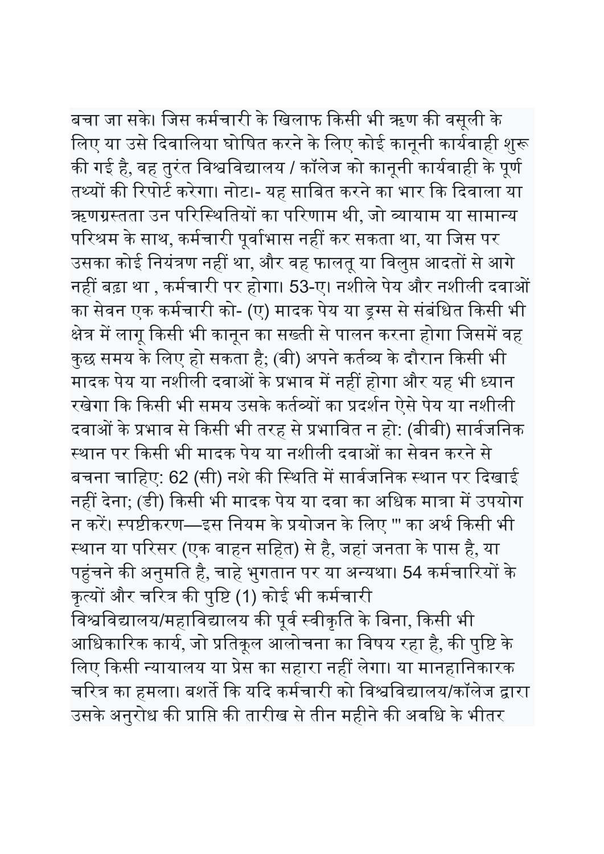बचा जा सके। जिस कर्मचारी के खिलाफ किसी भी ऋण की वसूली के लिए या उसे दिवालिया घोषित करने के लिए कोई कानूनी कार्यवाही शुरू की गई है, वह तुरंत विश्वविद्यालय / कॉलेज को कानूनी कार्यवाही के पूर्ण तथ्यों की रिपोर्ट करेगा। नोट।- यह साबित करने का भार कि दिवाला या ऋणग्रस्तता उन परिस्थितियों का परिणाम थी, जो व्यायाम या सामान्य परिश्रम के साथ, कर्मचारी पूर्वाभास नहीं कर सकता था, या जिस पर उसका कोई नियंत्रण नहीं था, और वह फालतू या विलुप्त आदतों से आगे नहीं बढ़ा था , कर्मचारी पर होगा। 53-ए। नशीले पेय और नशीली दवाओं का सेवन एक कर्मचारी को- (ए) मादक पेय या ड्रग्स से संबंधित किसी भी क्षेत्र में लागू किसी भी कानून का सख्ती से पालन करना होगा जिसमें वह कुछ समय के लिए हो सकता है; (बी) अपने कर्तव्य के दौरान किसी भी मादक पेय या नशीली दवाओं के प्रभाव में नहीं होगा और यह भी ध्यान रखेगा कि किसी भी समय उसके कर्तव्यों का प्रदर्शन ऐसे पेय या नशीली दवाओं के प्रभाव से किसी भी तरह से प्रभावित न हो: (बीबी) सार्वजनिक स्थान पर किसी भी मादक पेय या नशीली दवाओं का सेवन करने से बचना चाहिए: 62 (सी) नशे की स्थिति में सार्वजनिक स्थान पर दिखाई नहीं देना; (डी) किसी भी मादक पेय या दवा का अधिक मात्रा में उपयोग न करें। स्पष्टीकरण—इस नियम के प्रयोजन के लिए ''' का अर्थ किसी भी स्थान या परिसर (एक वाहन सहित) से है, जहां जनता के पास है, या पहुंचने की अनुमति है, चाहे भुगतान पर या अन्यथा। 54 कर्मचारियों के कृत्यों और चरित्र की पुष्टि (1) कोई भी कर्मचारी विश्वविद्यालय/महाविद्यालय की पूर्व स्वीकृति के बिना, किसी भी आधिकारिक कार्य, जो प्रतिकूल आलोचना का विषय रहा है, की पुष्टि के लिए किसी न्यायालय या प्रेस का सहारा नहीं लेगा। या मानहानिकारक चरित्र का हमला। बशर्ते कि यदि कर्मचारी को विश्वविद्यालय/कॉलेज द्वारा उसके अनुरोध की प्राप्ति की तारीख से तीन महीने की अवधि के भीतर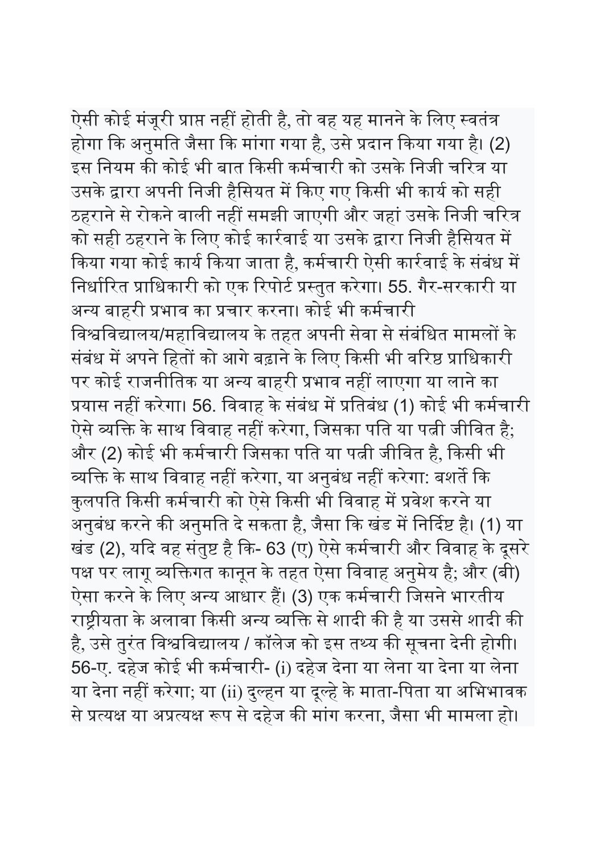ऐसी कोई मंजूरी प्राप्त नहीं होती है, तो वह यह मानने के लिए स्वतंत्र होगा कि अनुमति जैसा कि मांगा गया है, उसे प्रदान किया गया है। (2) इस नियम की कोई भी बात किसी कर्मचारी को उसके निजी चरित्र या उसके द्वारा अपनी निजी हैसियत में किए गए किसी भी कार्य को सही ठहराने से रोकने वाली नहीं समझी जाएगी और जहां उसके निजी चरित्र को सही ठहराने के लिए कोई कार्रवाई या उसके द्वारा निजी हैसियत में किया गया कोई कार्य किया जाता है, कर्मचारी ऐसी कार्रवाई के संबंध में निर्धारित प्राधिकारी को एक रिपोर्ट प्रस्तुत करेगा। 55. गैर-सरकारी या अन्य बाहरी प्रभाव का प्रचार करना। कोई भी कर्मचारी विश्वविद्यालय/महाविद्यालय के तहत अपनी सेवा से संबंधित मामलों के संबंध में अपने हितों को आगे बढ़ाने के लिए किसी भी वरिष्ठ प्राधिकारी पर कोई राजनीतिक या अन्य बाहरी प्रभाव नहीं लाएगा या लाने का प्रयास नहीं करेगा। 56. विवाह के संबंध में प्रतिबंध (1) कोई भी कर्मचारी ऐसे व्यक्ति के साथ विवाह नहीं करेगा, जिसका पति या पत्नी जीवित है; और (2) कोई भी कर्मचारी जिसका पति या पत्नी जीवित है, किसी भी व्यक्ति के साथ विवाह नहीं करेगा, या अनुबंध नहीं करेगा: बशर्ते कि कुलपति किसी कर्मचारी को ऐसे किसी भी विवाह में प्रवेश करने या अनुबंध करने की अनुमति दे सकता है, जैसा कि खंड में निर्दिष्ट है। (1) या खंड (2), यदि वह संतुष्ट है कि- 63 (ए) ऐसे कर्मचारी और विवाह के दूसरे पक्ष पर लागू व्यक्तिगत कानून के तहत ऐसा विवाह अनुमेय है; और (बी) ऐसा करने के लिए अन्य आधार हैं। (3) एक कर्मचारी जिसने भारतीय राष्ट्रीयता के अलावा किसी अन्य व्यक्ति से शादी की है या उससे शादी की है, उसे तुरंत विश्वविद्यालय / कॉलेज को इस तथ्य की सूचना देनी होगी। 56-ए. दहेज कोई भी कमᭅचारी- (i) दहेज देना या लेना या देना या लेना या देना नहीं करेगा; या (ii) दुल्हन या दूल्हे के माता-पिता या अभिभावक से प्रत्यक्ष या अप्रत्यक्ष रूप से दहेज की मांग करना, जैसा भी मामला हो।